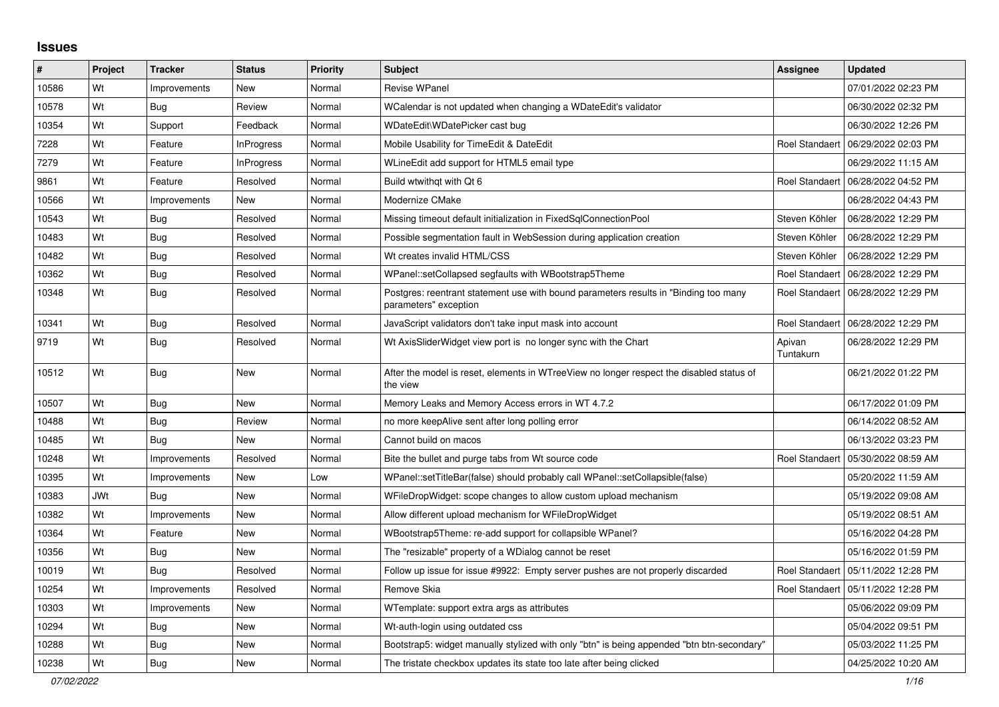## **Issues**

| ∦     | Project | <b>Tracker</b> | <b>Status</b>     | <b>Priority</b> | <b>Subject</b>                                                                                                | Assignee              | <b>Updated</b>      |
|-------|---------|----------------|-------------------|-----------------|---------------------------------------------------------------------------------------------------------------|-----------------------|---------------------|
| 10586 | Wt      | Improvements   | New               | Normal          | Revise WPanel                                                                                                 |                       | 07/01/2022 02:23 PM |
| 10578 | Wt      | Bug            | Review            | Normal          | WCalendar is not updated when changing a WDateEdit's validator                                                |                       | 06/30/2022 02:32 PM |
| 10354 | Wt      | Support        | Feedback          | Normal          | WDateEdit\WDatePicker cast bug                                                                                |                       | 06/30/2022 12:26 PM |
| 7228  | Wt      | Feature        | InProgress        | Normal          | Mobile Usability for TimeEdit & DateEdit                                                                      | <b>Roel Standaert</b> | 06/29/2022 02:03 PM |
| 7279  | Wt      | Feature        | <b>InProgress</b> | Normal          | WLineEdit add support for HTML5 email type                                                                    |                       | 06/29/2022 11:15 AM |
| 9861  | Wt      | Feature        | Resolved          | Normal          | Build wtwithgt with Qt 6                                                                                      | <b>Roel Standaert</b> | 06/28/2022 04:52 PM |
| 10566 | Wt      | Improvements   | New               | Normal          | Modernize CMake                                                                                               |                       | 06/28/2022 04:43 PM |
| 10543 | Wt      | Bug            | Resolved          | Normal          | Missing timeout default initialization in FixedSqlConnectionPool                                              | Steven Köhler         | 06/28/2022 12:29 PM |
| 10483 | Wt      | Bug            | Resolved          | Normal          | Possible segmentation fault in WebSession during application creation                                         | Steven Köhler         | 06/28/2022 12:29 PM |
| 10482 | Wt      | Bug            | Resolved          | Normal          | Wt creates invalid HTML/CSS                                                                                   | Steven Köhler         | 06/28/2022 12:29 PM |
| 10362 | Wt      | Bug            | Resolved          | Normal          | WPanel::setCollapsed segfaults with WBootstrap5Theme                                                          | <b>Roel Standaert</b> | 06/28/2022 12:29 PM |
| 10348 | Wt      | Bug            | Resolved          | Normal          | Postgres: reentrant statement use with bound parameters results in "Binding too many<br>parameters" exception | <b>Roel Standaert</b> | 06/28/2022 12:29 PM |
| 10341 | Wt      | <b>Bug</b>     | Resolved          | Normal          | JavaScript validators don't take input mask into account                                                      | <b>Roel Standaert</b> | 06/28/2022 12:29 PM |
| 9719  | Wt      | Bug            | Resolved          | Normal          | Wt AxisSliderWidget view port is no longer sync with the Chart                                                | Apivan<br>Tuntakurn   | 06/28/2022 12:29 PM |
| 10512 | Wt      | <b>Bug</b>     | <b>New</b>        | Normal          | After the model is reset, elements in WTreeView no longer respect the disabled status of<br>the view          |                       | 06/21/2022 01:22 PM |
| 10507 | Wt      | <b>Bug</b>     | New               | Normal          | Memory Leaks and Memory Access errors in WT 4.7.2                                                             |                       | 06/17/2022 01:09 PM |
| 10488 | Wt      | Bug            | Review            | Normal          | no more keepAlive sent after long polling error                                                               |                       | 06/14/2022 08:52 AM |
| 10485 | Wt      | Bug            | New               | Normal          | Cannot build on macos                                                                                         |                       | 06/13/2022 03:23 PM |
| 10248 | Wt      | Improvements   | Resolved          | Normal          | Bite the bullet and purge tabs from Wt source code                                                            | <b>Roel Standaert</b> | 05/30/2022 08:59 AM |
| 10395 | Wt      | Improvements   | New               | Low             | WPanel::setTitleBar(false) should probably call WPanel::setCollapsible(false)                                 |                       | 05/20/2022 11:59 AM |
| 10383 | JWt     | Bug            | New               | Normal          | WFileDropWidget: scope changes to allow custom upload mechanism                                               |                       | 05/19/2022 09:08 AM |
| 10382 | Wt      | Improvements   | New               | Normal          | Allow different upload mechanism for WFileDropWidget                                                          |                       | 05/19/2022 08:51 AM |
| 10364 | Wt      | Feature        | New               | Normal          | WBootstrap5Theme: re-add support for collapsible WPanel?                                                      |                       | 05/16/2022 04:28 PM |
| 10356 | Wt      | Bug            | New               | Normal          | The "resizable" property of a WDialog cannot be reset                                                         |                       | 05/16/2022 01:59 PM |
| 10019 | Wt      | Bug            | Resolved          | Normal          | Follow up issue for issue #9922: Empty server pushes are not properly discarded                               | Roel Standaer         | 05/11/2022 12:28 PM |
| 10254 | Wt      | Improvements   | Resolved          | Normal          | Remove Skia                                                                                                   | <b>Roel Standaert</b> | 05/11/2022 12:28 PM |
| 10303 | Wt      | Improvements   | New               | Normal          | WTemplate: support extra args as attributes                                                                   |                       | 05/06/2022 09:09 PM |
| 10294 | Wt      | Bug            | New               | Normal          | Wt-auth-login using outdated css                                                                              |                       | 05/04/2022 09:51 PM |
| 10288 | Wt      | <b>Bug</b>     | New               | Normal          | Bootstrap5: widget manually stylized with only "btn" is being appended "btn btn-secondary"                    |                       | 05/03/2022 11:25 PM |
| 10238 | Wt      | Bug            | New               | Normal          | The tristate checkbox updates its state too late after being clicked                                          |                       | 04/25/2022 10:20 AM |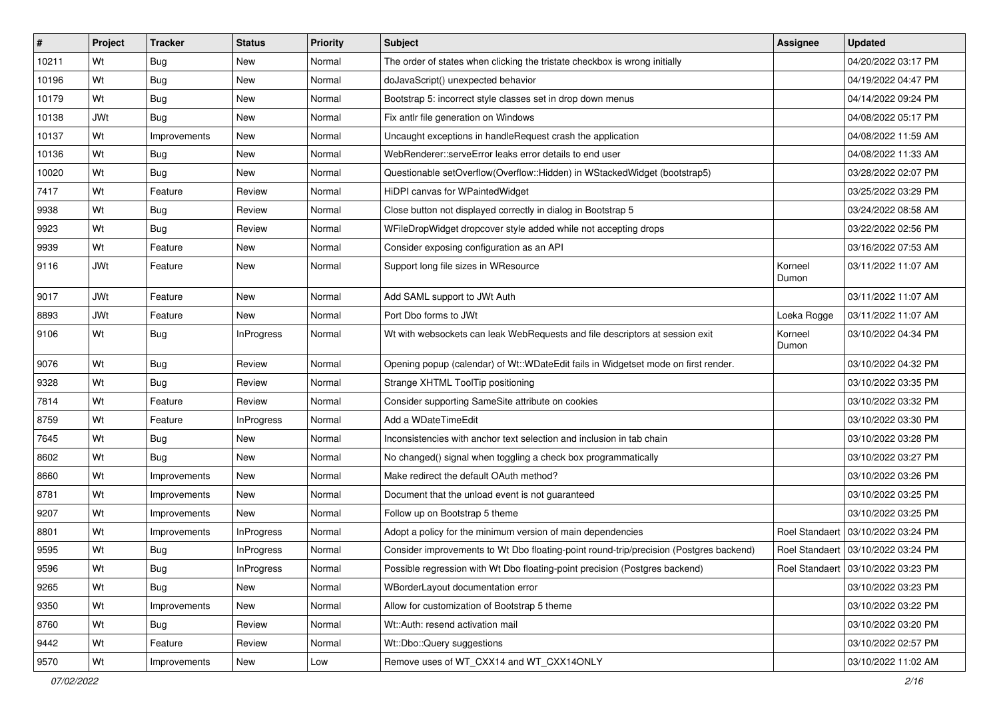| #     | Project    | <b>Tracker</b> | <b>Status</b>     | Priority | Subject                                                                                | <b>Assignee</b>       | <b>Updated</b>                       |
|-------|------------|----------------|-------------------|----------|----------------------------------------------------------------------------------------|-----------------------|--------------------------------------|
| 10211 | Wt         | Bug            | New               | Normal   | The order of states when clicking the tristate checkbox is wrong initially             |                       | 04/20/2022 03:17 PM                  |
| 10196 | Wt         | <b>Bug</b>     | <b>New</b>        | Normal   | doJavaScript() unexpected behavior                                                     |                       | 04/19/2022 04:47 PM                  |
| 10179 | Wt         | Bug            | New               | Normal   | Bootstrap 5: incorrect style classes set in drop down menus                            |                       | 04/14/2022 09:24 PM                  |
| 10138 | <b>JWt</b> | Bug            | <b>New</b>        | Normal   | Fix antlr file generation on Windows                                                   |                       | 04/08/2022 05:17 PM                  |
| 10137 | Wt         | Improvements   | <b>New</b>        | Normal   | Uncaught exceptions in handleRequest crash the application                             |                       | 04/08/2022 11:59 AM                  |
| 10136 | Wt         | Bug            | New               | Normal   | WebRenderer::serveError leaks error details to end user                                |                       | 04/08/2022 11:33 AM                  |
| 10020 | Wt         | Bug            | New               | Normal   | Questionable setOverflow(Overflow::Hidden) in WStackedWidget (bootstrap5)              |                       | 03/28/2022 02:07 PM                  |
| 7417  | Wt         | Feature        | Review            | Normal   | HiDPI canvas for WPaintedWidget                                                        |                       | 03/25/2022 03:29 PM                  |
| 9938  | Wt         | Bug            | Review            | Normal   | Close button not displayed correctly in dialog in Bootstrap 5                          |                       | 03/24/2022 08:58 AM                  |
| 9923  | Wt         | Bug            | Review            | Normal   | WFileDropWidget dropcover style added while not accepting drops                        |                       | 03/22/2022 02:56 PM                  |
| 9939  | Wt         | Feature        | New               | Normal   | Consider exposing configuration as an API                                              |                       | 03/16/2022 07:53 AM                  |
| 9116  | <b>JWt</b> | Feature        | New               | Normal   | Support long file sizes in WResource                                                   | Korneel<br>Dumon      | 03/11/2022 11:07 AM                  |
| 9017  | <b>JWt</b> | Feature        | New               | Normal   | Add SAML support to JWt Auth                                                           |                       | 03/11/2022 11:07 AM                  |
| 8893  | <b>JWt</b> | Feature        | New               | Normal   | Port Dbo forms to JWt                                                                  | Loeka Rogge           | 03/11/2022 11:07 AM                  |
| 9106  | Wt         | <b>Bug</b>     | <b>InProgress</b> | Normal   | Wt with websockets can leak WebRequests and file descriptors at session exit           | Korneel<br>Dumon      | 03/10/2022 04:34 PM                  |
| 9076  | Wt         | Bug            | Review            | Normal   | Opening popup (calendar) of Wt::WDateEdit fails in Widgetset mode on first render.     |                       | 03/10/2022 04:32 PM                  |
| 9328  | Wt         | Bug            | Review            | Normal   | Strange XHTML ToolTip positioning                                                      |                       | 03/10/2022 03:35 PM                  |
| 7814  | Wt         | Feature        | Review            | Normal   | Consider supporting SameSite attribute on cookies                                      |                       | 03/10/2022 03:32 PM                  |
| 8759  | Wt         | Feature        | <b>InProgress</b> | Normal   | Add a WDateTimeEdit                                                                    |                       | 03/10/2022 03:30 PM                  |
| 7645  | Wt         | <b>Bug</b>     | New               | Normal   | Inconsistencies with anchor text selection and inclusion in tab chain                  |                       | 03/10/2022 03:28 PM                  |
| 8602  | Wt         | Bug            | <b>New</b>        | Normal   | No changed() signal when toggling a check box programmatically                         |                       | 03/10/2022 03:27 PM                  |
| 8660  | Wt         | Improvements   | New               | Normal   | Make redirect the default OAuth method?                                                |                       | 03/10/2022 03:26 PM                  |
| 8781  | Wt         | Improvements   | <b>New</b>        | Normal   | Document that the unload event is not guaranteed                                       |                       | 03/10/2022 03:25 PM                  |
| 9207  | Wt         | Improvements   | New               | Normal   | Follow up on Bootstrap 5 theme                                                         |                       | 03/10/2022 03:25 PM                  |
| 8801  | Wt         | Improvements   | <b>InProgress</b> | Normal   | Adopt a policy for the minimum version of main dependencies                            | <b>Roel Standaert</b> | 03/10/2022 03:24 PM                  |
| 9595  | Wt         | <b>Bug</b>     | <b>InProgress</b> | Normal   | Consider improvements to Wt Dbo floating-point round-trip/precision (Postgres backend) |                       | Roel Standaert   03/10/2022 03:24 PM |
| 9596  | Wt         | Bug            | <b>InProgress</b> | Normal   | Possible regression with Wt Dbo floating-point precision (Postgres backend)            |                       | Roel Standaert   03/10/2022 03:23 PM |
| 9265  | Wt         | Bug            | New               | Normal   | WBorderLayout documentation error                                                      |                       | 03/10/2022 03:23 PM                  |
| 9350  | Wt         | Improvements   | New               | Normal   | Allow for customization of Bootstrap 5 theme                                           |                       | 03/10/2022 03:22 PM                  |
| 8760  | Wt         | Bug            | Review            | Normal   | Wt::Auth: resend activation mail                                                       |                       | 03/10/2022 03:20 PM                  |
| 9442  | Wt         | Feature        | Review            | Normal   | Wt::Dbo::Query suggestions                                                             |                       | 03/10/2022 02:57 PM                  |
| 9570  | Wt         | Improvements   | New               | Low      | Remove uses of WT_CXX14 and WT_CXX14ONLY                                               |                       | 03/10/2022 11:02 AM                  |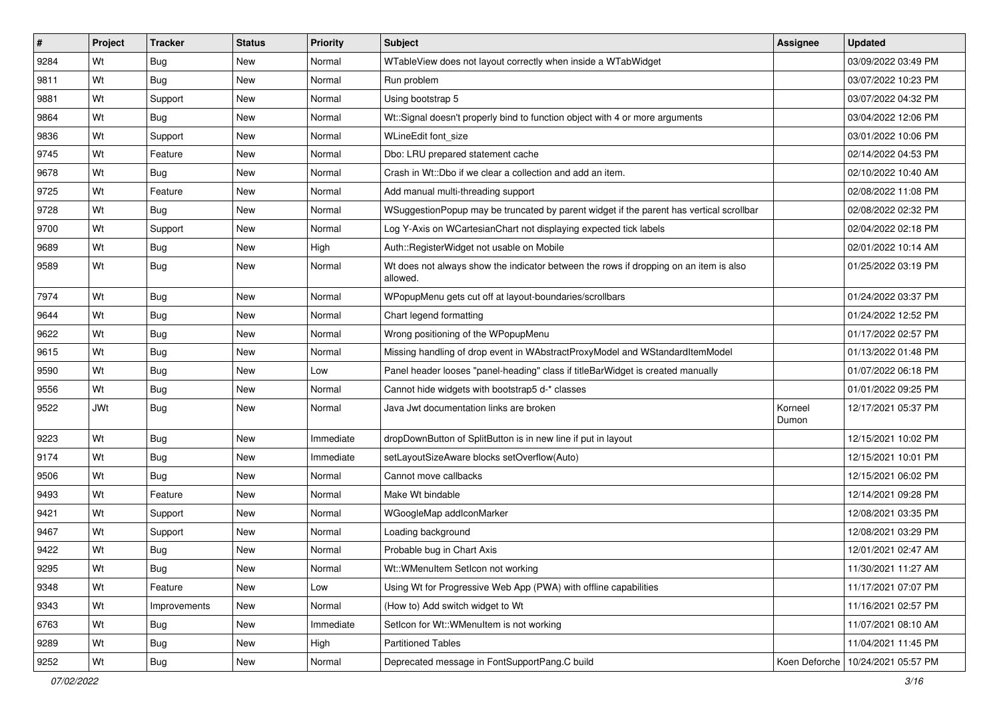| ∦    | Project | <b>Tracker</b> | <b>Status</b> | <b>Priority</b> | Subject                                                                                           | Assignee         | <b>Updated</b>                      |
|------|---------|----------------|---------------|-----------------|---------------------------------------------------------------------------------------------------|------------------|-------------------------------------|
| 9284 | Wt      | Bug            | New           | Normal          | WTableView does not layout correctly when inside a WTabWidget                                     |                  | 03/09/2022 03:49 PM                 |
| 9811 | Wt      | Bug            | New           | Normal          | Run problem                                                                                       |                  | 03/07/2022 10:23 PM                 |
| 9881 | Wt      | Support        | New           | Normal          | Using bootstrap 5                                                                                 |                  | 03/07/2022 04:32 PM                 |
| 9864 | Wt      | Bug            | New           | Normal          | Wt::Signal doesn't properly bind to function object with 4 or more arguments                      |                  | 03/04/2022 12:06 PM                 |
| 9836 | Wt      | Support        | New           | Normal          | WLineEdit font_size                                                                               |                  | 03/01/2022 10:06 PM                 |
| 9745 | Wt      | Feature        | New           | Normal          | Dbo: LRU prepared statement cache                                                                 |                  | 02/14/2022 04:53 PM                 |
| 9678 | Wt      | Bug            | New           | Normal          | Crash in Wt::Dbo if we clear a collection and add an item.                                        |                  | 02/10/2022 10:40 AM                 |
| 9725 | Wt      | Feature        | New           | Normal          | Add manual multi-threading support                                                                |                  | 02/08/2022 11:08 PM                 |
| 9728 | Wt      | Bug            | New           | Normal          | WSuggestionPopup may be truncated by parent widget if the parent has vertical scrollbar           |                  | 02/08/2022 02:32 PM                 |
| 9700 | Wt      | Support        | New           | Normal          | Log Y-Axis on WCartesianChart not displaying expected tick labels                                 |                  | 02/04/2022 02:18 PM                 |
| 9689 | Wt      | Bug            | New           | High            | Auth::RegisterWidget not usable on Mobile                                                         |                  | 02/01/2022 10:14 AM                 |
| 9589 | Wt      | Bug            | New           | Normal          | Wt does not always show the indicator between the rows if dropping on an item is also<br>allowed. |                  | 01/25/2022 03:19 PM                 |
| 7974 | Wt      | Bug            | New           | Normal          | WPopupMenu gets cut off at layout-boundaries/scrollbars                                           |                  | 01/24/2022 03:37 PM                 |
| 9644 | Wt      | Bug            | New           | Normal          | Chart legend formatting                                                                           |                  | 01/24/2022 12:52 PM                 |
| 9622 | Wt      | Bug            | New           | Normal          | Wrong positioning of the WPopupMenu                                                               |                  | 01/17/2022 02:57 PM                 |
| 9615 | Wt      | <b>Bug</b>     | New           | Normal          | Missing handling of drop event in WAbstractProxyModel and WStandardItemModel                      |                  | 01/13/2022 01:48 PM                 |
| 9590 | Wt      | Bug            | New           | Low             | Panel header looses "panel-heading" class if titleBarWidget is created manually                   |                  | 01/07/2022 06:18 PM                 |
| 9556 | Wt      | <b>Bug</b>     | New           | Normal          | Cannot hide widgets with bootstrap5 d-* classes                                                   |                  | 01/01/2022 09:25 PM                 |
| 9522 | JWt     | Bug            | New           | Normal          | Java Jwt documentation links are broken                                                           | Korneel<br>Dumon | 12/17/2021 05:37 PM                 |
| 9223 | Wt      | Bug            | New           | Immediate       | dropDownButton of SplitButton is in new line if put in layout                                     |                  | 12/15/2021 10:02 PM                 |
| 9174 | Wt      | Bug            | New           | Immediate       | setLayoutSizeAware blocks setOverflow(Auto)                                                       |                  | 12/15/2021 10:01 PM                 |
| 9506 | Wt      | Bug            | New           | Normal          | Cannot move callbacks                                                                             |                  | 12/15/2021 06:02 PM                 |
| 9493 | Wt      | Feature        | New           | Normal          | Make Wt bindable                                                                                  |                  | 12/14/2021 09:28 PM                 |
| 9421 | Wt      | Support        | New           | Normal          | WGoogleMap addlconMarker                                                                          |                  | 12/08/2021 03:35 PM                 |
| 9467 | Wt      | Support        | New           | Normal          | Loading background                                                                                |                  | 12/08/2021 03:29 PM                 |
| 9422 | Wt      | Bug            | New           | Normal          | Probable bug in Chart Axis                                                                        |                  | 12/01/2021 02:47 AM                 |
| 9295 | Wt      | Bug            | New           | Normal          | Wt:: WMenuItem SetIcon not working                                                                |                  | 11/30/2021 11:27 AM                 |
| 9348 | Wt      | Feature        | New           | Low             | Using Wt for Progressive Web App (PWA) with offline capabilities                                  |                  | 11/17/2021 07:07 PM                 |
| 9343 | Wt      | Improvements   | <b>New</b>    | Normal          | (How to) Add switch widget to Wt                                                                  |                  | 11/16/2021 02:57 PM                 |
| 6763 | Wt      | Bug            | New           | Immediate       | SetIcon for Wt::WMenuItem is not working                                                          |                  | 11/07/2021 08:10 AM                 |
| 9289 | Wt      | <b>Bug</b>     | New           | High            | <b>Partitioned Tables</b>                                                                         |                  | 11/04/2021 11:45 PM                 |
| 9252 | Wt      | <b>Bug</b>     | New           | Normal          | Deprecated message in FontSupportPang.C build                                                     |                  | Koen Deforche   10/24/2021 05:57 PM |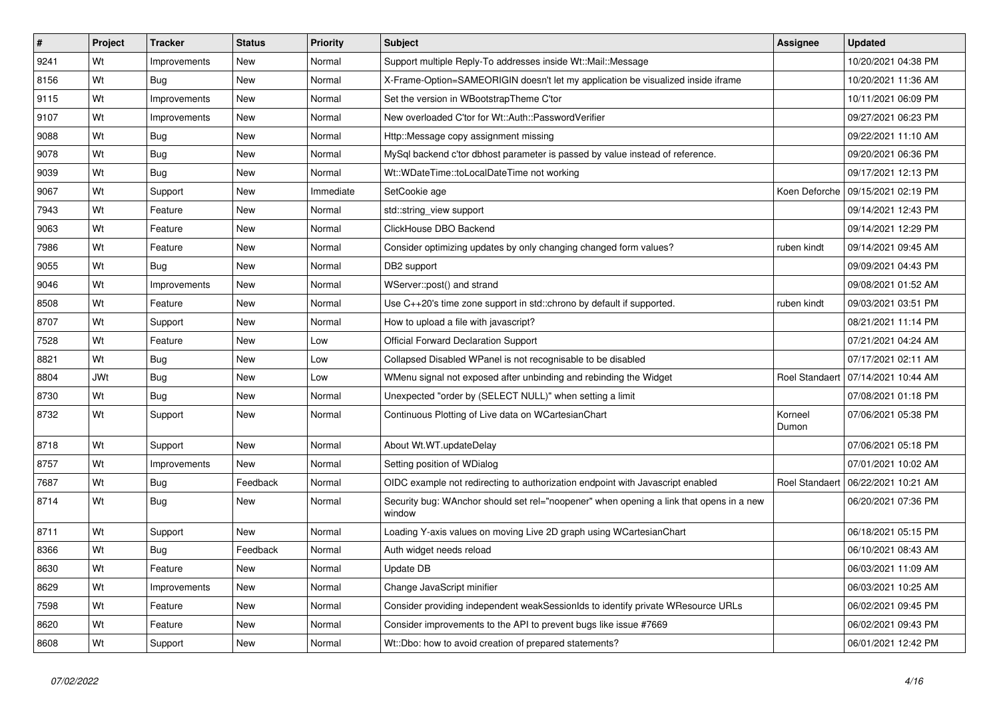| ∦    | Project    | <b>Tracker</b> | <b>Status</b> | <b>Priority</b> | Subject                                                                                           | <b>Assignee</b>  | <b>Updated</b>                       |
|------|------------|----------------|---------------|-----------------|---------------------------------------------------------------------------------------------------|------------------|--------------------------------------|
| 9241 | Wt         | Improvements   | New           | Normal          | Support multiple Reply-To addresses inside Wt::Mail::Message                                      |                  | 10/20/2021 04:38 PM                  |
| 8156 | Wt         | Bug            | New           | Normal          | X-Frame-Option=SAMEORIGIN doesn't let my application be visualized inside iframe                  |                  | 10/20/2021 11:36 AM                  |
| 9115 | Wt         | Improvements   | New           | Normal          | Set the version in WBootstrapTheme C'tor                                                          |                  | 10/11/2021 06:09 PM                  |
| 9107 | Wt         | Improvements   | New           | Normal          | New overloaded C'tor for Wt::Auth::PasswordVerifier                                               |                  | 09/27/2021 06:23 PM                  |
| 9088 | Wt         | Bug            | New           | Normal          | Http::Message copy assignment missing                                                             |                  | 09/22/2021 11:10 AM                  |
| 9078 | Wt         | Bug            | New           | Normal          | MySql backend c'tor dbhost parameter is passed by value instead of reference.                     |                  | 09/20/2021 06:36 PM                  |
| 9039 | Wt         | Bug            | New           | Normal          | Wt::WDateTime::toLocalDateTime not working                                                        |                  | 09/17/2021 12:13 PM                  |
| 9067 | Wt         | Support        | New           | Immediate       | SetCookie age                                                                                     |                  | Koen Deforche   09/15/2021 02:19 PM  |
| 7943 | Wt         | Feature        | New           | Normal          | std::string_view support                                                                          |                  | 09/14/2021 12:43 PM                  |
| 9063 | Wt         | Feature        | New           | Normal          | ClickHouse DBO Backend                                                                            |                  | 09/14/2021 12:29 PM                  |
| 7986 | Wt         | Feature        | New           | Normal          | Consider optimizing updates by only changing changed form values?                                 | ruben kindt      | 09/14/2021 09:45 AM                  |
| 9055 | Wt         | Bug            | New           | Normal          | DB2 support                                                                                       |                  | 09/09/2021 04:43 PM                  |
| 9046 | Wt         | Improvements   | New           | Normal          | WServer::post() and strand                                                                        |                  | 09/08/2021 01:52 AM                  |
| 8508 | Wt         | Feature        | New           | Normal          | Use $C_{++20}$ 's time zone support in std:: chrono by default if supported.                      | ruben kindt      | 09/03/2021 03:51 PM                  |
| 8707 | Wt         | Support        | New           | Normal          | How to upload a file with javascript?                                                             |                  | 08/21/2021 11:14 PM                  |
| 7528 | Wt         | Feature        | New           | Low             | <b>Official Forward Declaration Support</b>                                                       |                  | 07/21/2021 04:24 AM                  |
| 8821 | Wt         | Bug            | New           | Low             | Collapsed Disabled WPanel is not recognisable to be disabled                                      |                  | 07/17/2021 02:11 AM                  |
| 8804 | <b>JWt</b> | Bug            | New           | Low             | WMenu signal not exposed after unbinding and rebinding the Widget                                 | Roel Standaert   | 07/14/2021 10:44 AM                  |
| 8730 | Wt         | Bug            | New           | Normal          | Unexpected "order by (SELECT NULL)" when setting a limit                                          |                  | 07/08/2021 01:18 PM                  |
| 8732 | Wt         | Support        | New           | Normal          | Continuous Plotting of Live data on WCartesianChart                                               | Korneel<br>Dumon | 07/06/2021 05:38 PM                  |
| 8718 | Wt         | Support        | New           | Normal          | About Wt.WT.updateDelay                                                                           |                  | 07/06/2021 05:18 PM                  |
| 8757 | Wt         | Improvements   | New           | Normal          | Setting position of WDialog                                                                       |                  | 07/01/2021 10:02 AM                  |
| 7687 | Wt         | Bug            | Feedback      | Normal          | OIDC example not redirecting to authorization endpoint with Javascript enabled                    |                  | Roel Standaert   06/22/2021 10:21 AM |
| 8714 | Wt         | Bug            | New           | Normal          | Security bug: WAnchor should set rel="noopener" when opening a link that opens in a new<br>window |                  | 06/20/2021 07:36 PM                  |
| 8711 | Wt         | Support        | New           | Normal          | Loading Y-axis values on moving Live 2D graph using WCartesianChart                               |                  | 06/18/2021 05:15 PM                  |
| 8366 | Wt         | Bug            | Feedback      | Normal          | Auth widget needs reload                                                                          |                  | 06/10/2021 08:43 AM                  |
| 8630 | Wt         | Feature        | New           | Normal          | Update DB                                                                                         |                  | 06/03/2021 11:09 AM                  |
| 8629 | Wt         | Improvements   | New           | Normal          | Change JavaScript minifier                                                                        |                  | 06/03/2021 10:25 AM                  |
| 7598 | Wt         | Feature        | New           | Normal          | Consider providing independent weakSessionIds to identify private WResource URLs                  |                  | 06/02/2021 09:45 PM                  |
| 8620 | Wt         | Feature        | New           | Normal          | Consider improvements to the API to prevent bugs like issue #7669                                 |                  | 06/02/2021 09:43 PM                  |
| 8608 | Wt         | Support        | New           | Normal          | Wt::Dbo: how to avoid creation of prepared statements?                                            |                  | 06/01/2021 12:42 PM                  |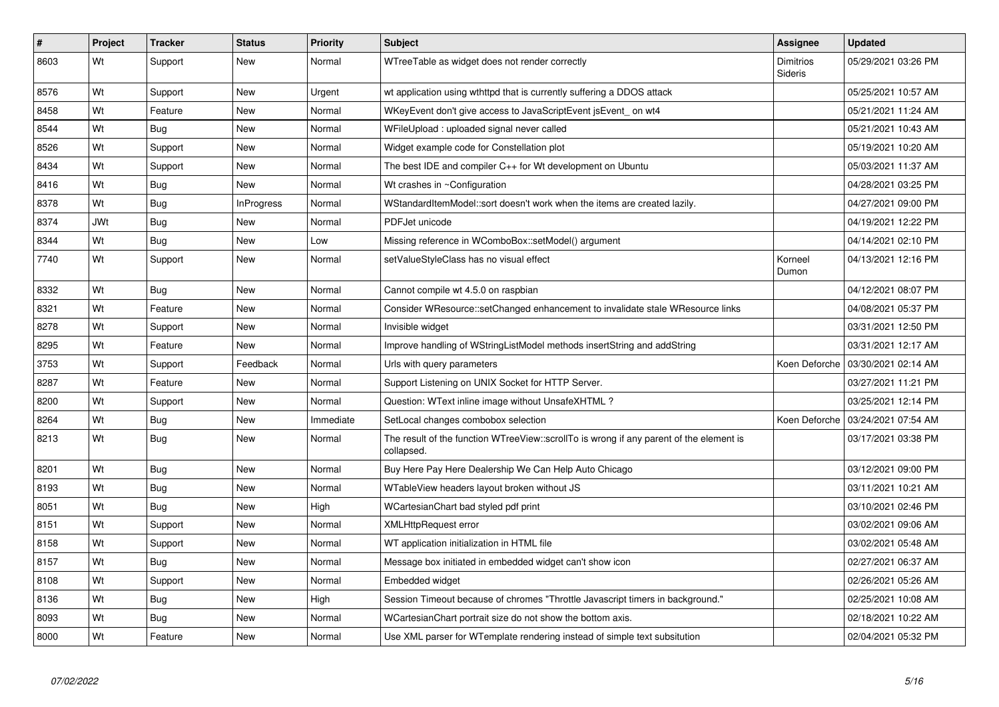| $\vert$ # | Project | <b>Tracker</b> | <b>Status</b>     | <b>Priority</b> | <b>Subject</b>                                                                                        | <b>Assignee</b>             | <b>Updated</b>                      |
|-----------|---------|----------------|-------------------|-----------------|-------------------------------------------------------------------------------------------------------|-----------------------------|-------------------------------------|
| 8603      | Wt      | Support        | New               | Normal          | WTreeTable as widget does not render correctly                                                        | <b>Dimitrios</b><br>Sideris | 05/29/2021 03:26 PM                 |
| 8576      | Wt      | Support        | New               | Urgent          | wt application using wthttpd that is currently suffering a DDOS attack                                |                             | 05/25/2021 10:57 AM                 |
| 8458      | Wt      | Feature        | New               | Normal          | WKeyEvent don't give access to JavaScriptEvent jsEvent on wt4                                         |                             | 05/21/2021 11:24 AM                 |
| 8544      | Wt      | Bug            | New               | Normal          | WFileUpload: uploaded signal never called                                                             |                             | 05/21/2021 10:43 AM                 |
| 8526      | Wt      | Support        | <b>New</b>        | Normal          | Widget example code for Constellation plot                                                            |                             | 05/19/2021 10:20 AM                 |
| 8434      | Wt      | Support        | New               | Normal          | The best IDE and compiler $C_{++}$ for Wt development on Ubuntu                                       |                             | 05/03/2021 11:37 AM                 |
| 8416      | Wt      | <b>Bug</b>     | <b>New</b>        | Normal          | Wt crashes in ~Configuration                                                                          |                             | 04/28/2021 03:25 PM                 |
| 8378      | Wt      | Bug            | <b>InProgress</b> | Normal          | WStandardItemModel::sort doesn't work when the items are created lazily.                              |                             | 04/27/2021 09:00 PM                 |
| 8374      | JWt     | Bug            | New               | Normal          | PDFJet unicode                                                                                        |                             | 04/19/2021 12:22 PM                 |
| 8344      | Wt      | Bug            | New               | Low             | Missing reference in WComboBox::setModel() argument                                                   |                             | 04/14/2021 02:10 PM                 |
| 7740      | Wt      | Support        | New               | Normal          | setValueStyleClass has no visual effect                                                               | Korneel<br>Dumon            | 04/13/2021 12:16 PM                 |
| 8332      | Wt      | Bug            | <b>New</b>        | Normal          | Cannot compile wt 4.5.0 on raspbian                                                                   |                             | 04/12/2021 08:07 PM                 |
| 8321      | Wt      | Feature        | <b>New</b>        | Normal          | Consider WResource::setChanged enhancement to invalidate stale WResource links                        |                             | 04/08/2021 05:37 PM                 |
| 8278      | Wt      | Support        | New               | Normal          | Invisible widget                                                                                      |                             | 03/31/2021 12:50 PM                 |
| 8295      | Wt      | Feature        | New               | Normal          | Improve handling of WStringListModel methods insertString and addString                               |                             | 03/31/2021 12:17 AM                 |
| 3753      | Wt      | Support        | Feedback          | Normal          | Urls with query parameters                                                                            | Koen Deforche               | 03/30/2021 02:14 AM                 |
| 8287      | Wt      | Feature        | New               | Normal          | Support Listening on UNIX Socket for HTTP Server.                                                     |                             | 03/27/2021 11:21 PM                 |
| 8200      | Wt      | Support        | New               | Normal          | Question: WText inline image without UnsafeXHTML?                                                     |                             | 03/25/2021 12:14 PM                 |
| 8264      | Wt      | Bug            | New               | Immediate       | SetLocal changes combobox selection                                                                   |                             | Koen Deforche   03/24/2021 07:54 AM |
| 8213      | Wt      | Bug            | New               | Normal          | The result of the function WTreeView::scrollTo is wrong if any parent of the element is<br>collapsed. |                             | 03/17/2021 03:38 PM                 |
| 8201      | Wt      | <b>Bug</b>     | New               | Normal          | Buy Here Pay Here Dealership We Can Help Auto Chicago                                                 |                             | 03/12/2021 09:00 PM                 |
| 8193      | Wt      | Bug            | New               | Normal          | WTableView headers layout broken without JS                                                           |                             | 03/11/2021 10:21 AM                 |
| 8051      | Wt      | <b>Bug</b>     | New               | High            | WCartesianChart bad styled pdf print                                                                  |                             | 03/10/2021 02:46 PM                 |
| 8151      | Wt      | Support        | New               | Normal          | <b>XMLHttpRequest error</b>                                                                           |                             | 03/02/2021 09:06 AM                 |
| 8158      | Wt      | Support        | New               | Normal          | WT application initialization in HTML file                                                            |                             | 03/02/2021 05:48 AM                 |
| 8157      | Wt      | Bug            | New               | Normal          | Message box initiated in embedded widget can't show icon                                              |                             | 02/27/2021 06:37 AM                 |
| 8108      | Wt      | Support        | New               | Normal          | Embedded widget                                                                                       |                             | 02/26/2021 05:26 AM                 |
| 8136      | Wt      | Bug            | New               | High            | Session Timeout because of chromes "Throttle Javascript timers in background."                        |                             | 02/25/2021 10:08 AM                 |
| 8093      | Wt      | Bug            | New               | Normal          | WCartesianChart portrait size do not show the bottom axis.                                            |                             | 02/18/2021 10:22 AM                 |
| 8000      | Wt      | Feature        | <b>New</b>        | Normal          | Use XML parser for WTemplate rendering instead of simple text subsitution                             |                             | 02/04/2021 05:32 PM                 |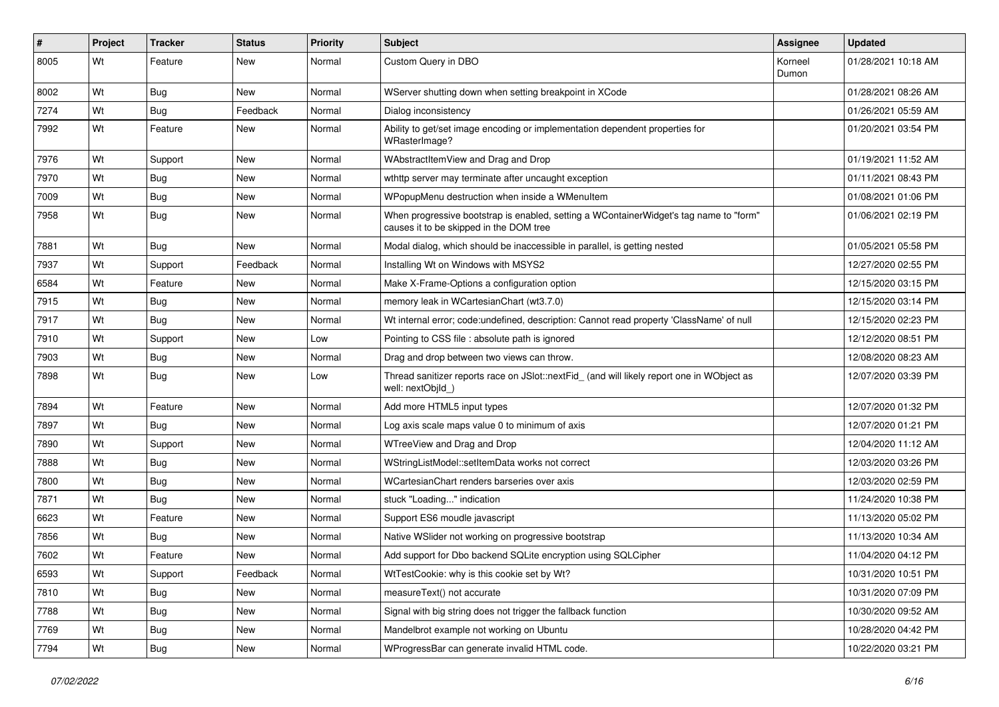| $\#$ | Project | <b>Tracker</b> | <b>Status</b> | Priority | <b>Subject</b>                                                                                                                    | <b>Assignee</b>  | <b>Updated</b>      |
|------|---------|----------------|---------------|----------|-----------------------------------------------------------------------------------------------------------------------------------|------------------|---------------------|
| 8005 | Wt      | Feature        | New           | Normal   | Custom Query in DBO                                                                                                               | Korneel<br>Dumon | 01/28/2021 10:18 AM |
| 8002 | Wt      | Bug            | New           | Normal   | WServer shutting down when setting breakpoint in XCode                                                                            |                  | 01/28/2021 08:26 AM |
| 7274 | Wt      | <b>Bug</b>     | Feedback      | Normal   | Dialog inconsistency                                                                                                              |                  | 01/26/2021 05:59 AM |
| 7992 | Wt      | Feature        | <b>New</b>    | Normal   | Ability to get/set image encoding or implementation dependent properties for<br>WRasterImage?                                     |                  | 01/20/2021 03:54 PM |
| 7976 | Wt      | Support        | New           | Normal   | WAbstractItemView and Drag and Drop                                                                                               |                  | 01/19/2021 11:52 AM |
| 7970 | Wt      | Bug            | New           | Normal   | wthttp server may terminate after uncaught exception                                                                              |                  | 01/11/2021 08:43 PM |
| 7009 | Wt      | Bug            | New           | Normal   | WPopupMenu destruction when inside a WMenuItem                                                                                    |                  | 01/08/2021 01:06 PM |
| 7958 | Wt      | Bug            | New           | Normal   | When progressive bootstrap is enabled, setting a WContainerWidget's tag name to "form"<br>causes it to be skipped in the DOM tree |                  | 01/06/2021 02:19 PM |
| 7881 | Wt      | Bug            | New           | Normal   | Modal dialog, which should be inaccessible in parallel, is getting nested                                                         |                  | 01/05/2021 05:58 PM |
| 7937 | Wt      | Support        | Feedback      | Normal   | Installing Wt on Windows with MSYS2                                                                                               |                  | 12/27/2020 02:55 PM |
| 6584 | Wt      | Feature        | New           | Normal   | Make X-Frame-Options a configuration option                                                                                       |                  | 12/15/2020 03:15 PM |
| 7915 | Wt      | Bug            | New           | Normal   | memory leak in WCartesianChart (wt3.7.0)                                                                                          |                  | 12/15/2020 03:14 PM |
| 7917 | Wt      | Bug            | New           | Normal   | Wt internal error; code: undefined, description: Cannot read property 'ClassName' of null                                         |                  | 12/15/2020 02:23 PM |
| 7910 | Wt      | Support        | New           | Low      | Pointing to CSS file : absolute path is ignored                                                                                   |                  | 12/12/2020 08:51 PM |
| 7903 | Wt      | <b>Bug</b>     | New           | Normal   | Drag and drop between two views can throw.                                                                                        |                  | 12/08/2020 08:23 AM |
| 7898 | Wt      | Bug            | New           | Low      | Thread sanitizer reports race on JSlot::nextFid_ (and will likely report one in WObject as<br>well: nextObjId )                   |                  | 12/07/2020 03:39 PM |
| 7894 | Wt      | Feature        | <b>New</b>    | Normal   | Add more HTML5 input types                                                                                                        |                  | 12/07/2020 01:32 PM |
| 7897 | Wt      | Bug            | New           | Normal   | Log axis scale maps value 0 to minimum of axis                                                                                    |                  | 12/07/2020 01:21 PM |
| 7890 | Wt      | Support        | New           | Normal   | WTreeView and Drag and Drop                                                                                                       |                  | 12/04/2020 11:12 AM |
| 7888 | Wt      | <b>Bug</b>     | New           | Normal   | WStringListModel::setItemData works not correct                                                                                   |                  | 12/03/2020 03:26 PM |
| 7800 | Wt      | Bug            | New           | Normal   | WCartesianChart renders barseries over axis                                                                                       |                  | 12/03/2020 02:59 PM |
| 7871 | Wt      | Bug            | <b>New</b>    | Normal   | stuck "Loading" indication                                                                                                        |                  | 11/24/2020 10:38 PM |
| 6623 | Wt      | Feature        | New           | Normal   | Support ES6 moudle javascript                                                                                                     |                  | 11/13/2020 05:02 PM |
| 7856 | Wt      | <b>Bug</b>     | New           | Normal   | Native WSIider not working on progressive bootstrap                                                                               |                  | 11/13/2020 10:34 AM |
| 7602 | Wt      | Feature        | New           | Normal   | Add support for Dbo backend SQLite encryption using SQLCipher                                                                     |                  | 11/04/2020 04:12 PM |
| 6593 | Wt      | Support        | Feedback      | Normal   | WtTestCookie: why is this cookie set by Wt?                                                                                       |                  | 10/31/2020 10:51 PM |
| 7810 | Wt      | Bug            | New           | Normal   | measureText() not accurate                                                                                                        |                  | 10/31/2020 07:09 PM |
| 7788 | Wt      | <b>Bug</b>     | New           | Normal   | Signal with big string does not trigger the fallback function                                                                     |                  | 10/30/2020 09:52 AM |
| 7769 | Wt      | <b>Bug</b>     | New           | Normal   | Mandelbrot example not working on Ubuntu                                                                                          |                  | 10/28/2020 04:42 PM |
| 7794 | Wt      | Bug            | New           | Normal   | WProgressBar can generate invalid HTML code.                                                                                      |                  | 10/22/2020 03:21 PM |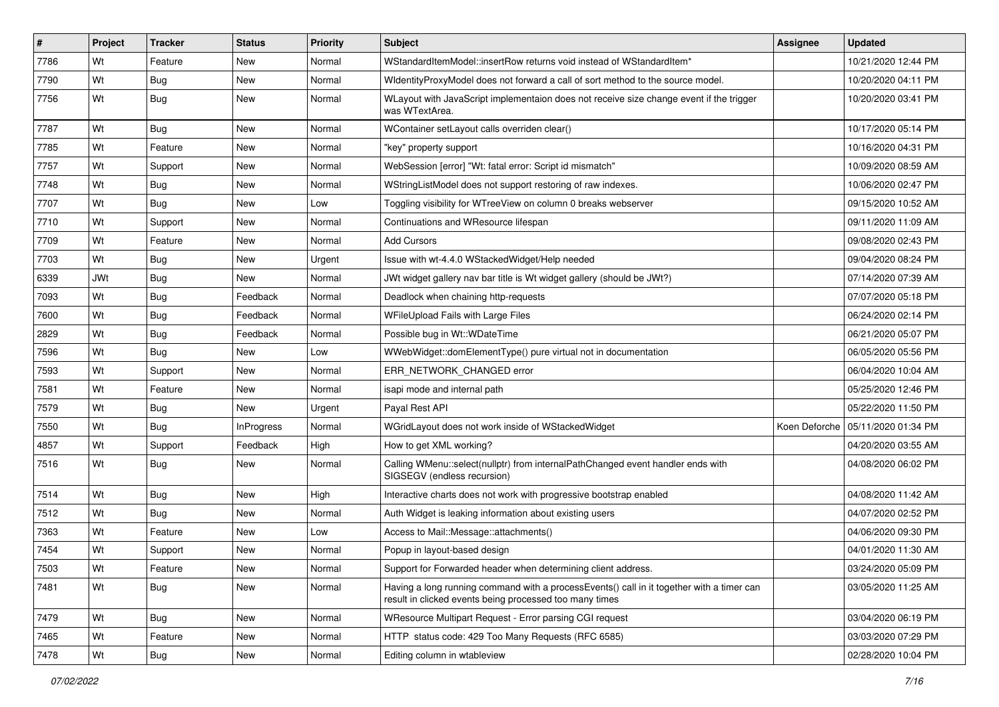| #    | Project    | <b>Tracker</b> | <b>Status</b>     | <b>Priority</b> | <b>Subject</b>                                                                                                                                       | <b>Assignee</b> | <b>Updated</b>                      |
|------|------------|----------------|-------------------|-----------------|------------------------------------------------------------------------------------------------------------------------------------------------------|-----------------|-------------------------------------|
| 7786 | Wt         | Feature        | New               | Normal          | WStandardItemModel::insertRow returns void instead of WStandardItem*                                                                                 |                 | 10/21/2020 12:44 PM                 |
| 7790 | Wt         | Bug            | New               | Normal          | WidentityProxyModel does not forward a call of sort method to the source model.                                                                      |                 | 10/20/2020 04:11 PM                 |
| 7756 | Wt         | Bug            | New               | Normal          | WLayout with JavaScript implementaion does not receive size change event if the trigger<br>was WTextArea.                                            |                 | 10/20/2020 03:41 PM                 |
| 7787 | Wt         | Bug            | <b>New</b>        | Normal          | WContainer setLayout calls overriden clear()                                                                                                         |                 | 10/17/2020 05:14 PM                 |
| 7785 | Wt         | Feature        | New               | Normal          | "key" property support                                                                                                                               |                 | 10/16/2020 04:31 PM                 |
| 7757 | Wt         | Support        | New               | Normal          | WebSession [error] "Wt: fatal error: Script id mismatch"                                                                                             |                 | 10/09/2020 08:59 AM                 |
| 7748 | Wt         | Bug            | New               | Normal          | WStringListModel does not support restoring of raw indexes.                                                                                          |                 | 10/06/2020 02:47 PM                 |
| 7707 | Wt         | Bug            | New               | Low             | Toggling visibility for WTreeView on column 0 breaks webserver                                                                                       |                 | 09/15/2020 10:52 AM                 |
| 7710 | Wt         | Support        | New               | Normal          | Continuations and WResource lifespan                                                                                                                 |                 | 09/11/2020 11:09 AM                 |
| 7709 | Wt         | Feature        | New               | Normal          | <b>Add Cursors</b>                                                                                                                                   |                 | 09/08/2020 02:43 PM                 |
| 7703 | Wt         | Bug            | New               | Urgent          | Issue with wt-4.4.0 WStackedWidget/Help needed                                                                                                       |                 | 09/04/2020 08:24 PM                 |
| 6339 | <b>JWt</b> | Bug            | New               | Normal          | JWt widget gallery nav bar title is Wt widget gallery (should be JWt?)                                                                               |                 | 07/14/2020 07:39 AM                 |
| 7093 | Wt         | Bug            | Feedback          | Normal          | Deadlock when chaining http-requests                                                                                                                 |                 | 07/07/2020 05:18 PM                 |
| 7600 | Wt         | Bug            | Feedback          | Normal          | WFileUpload Fails with Large Files                                                                                                                   |                 | 06/24/2020 02:14 PM                 |
| 2829 | Wt         | Bug            | Feedback          | Normal          | Possible bug in Wt:: WDateTime                                                                                                                       |                 | 06/21/2020 05:07 PM                 |
| 7596 | Wt         | Bug            | New               | Low             | WWebWidget::domElementType() pure virtual not in documentation                                                                                       |                 | 06/05/2020 05:56 PM                 |
| 7593 | Wt         | Support        | New               | Normal          | ERR NETWORK CHANGED error                                                                                                                            |                 | 06/04/2020 10:04 AM                 |
| 7581 | Wt         | Feature        | New               | Normal          | isapi mode and internal path                                                                                                                         |                 | 05/25/2020 12:46 PM                 |
| 7579 | Wt         | Bug            | New               | Urgent          | Payal Rest API                                                                                                                                       |                 | 05/22/2020 11:50 PM                 |
| 7550 | Wt         | Bug            | <b>InProgress</b> | Normal          | WGridLayout does not work inside of WStackedWidget                                                                                                   |                 | Koen Deforche   05/11/2020 01:34 PM |
| 4857 | Wt         | Support        | Feedback          | High            | How to get XML working?                                                                                                                              |                 | 04/20/2020 03:55 AM                 |
| 7516 | Wt         | Bug            | New               | Normal          | Calling WMenu::select(nullptr) from internalPathChanged event handler ends with<br>SIGSEGV (endless recursion)                                       |                 | 04/08/2020 06:02 PM                 |
| 7514 | Wt         | Bug            | New               | High            | Interactive charts does not work with progressive bootstrap enabled                                                                                  |                 | 04/08/2020 11:42 AM                 |
| 7512 | Wt         | Bug            | New               | Normal          | Auth Widget is leaking information about existing users                                                                                              |                 | 04/07/2020 02:52 PM                 |
| 7363 | Wt         | Feature        | New               | Low             | Access to Mail::Message::attachments()                                                                                                               |                 | 04/06/2020 09:30 PM                 |
| 7454 | Wt         | Support        | New               | Normal          | Popup in layout-based design                                                                                                                         |                 | 04/01/2020 11:30 AM                 |
| 7503 | Wt         | Feature        | New               | Normal          | Support for Forwarded header when determining client address.                                                                                        |                 | 03/24/2020 05:09 PM                 |
| 7481 | Wt         | Bug            | New               | Normal          | Having a long running command with a processEvents() call in it together with a timer can<br>result in clicked events being processed too many times |                 | 03/05/2020 11:25 AM                 |
| 7479 | Wt         | Bug            | New               | Normal          | WResource Multipart Request - Error parsing CGI request                                                                                              |                 | 03/04/2020 06:19 PM                 |
| 7465 | Wt         | Feature        | New               | Normal          | HTTP status code: 429 Too Many Requests (RFC 6585)                                                                                                   |                 | 03/03/2020 07:29 PM                 |
| 7478 | Wt         | Bug            | New               | Normal          | Editing column in wtableview                                                                                                                         |                 | 02/28/2020 10:04 PM                 |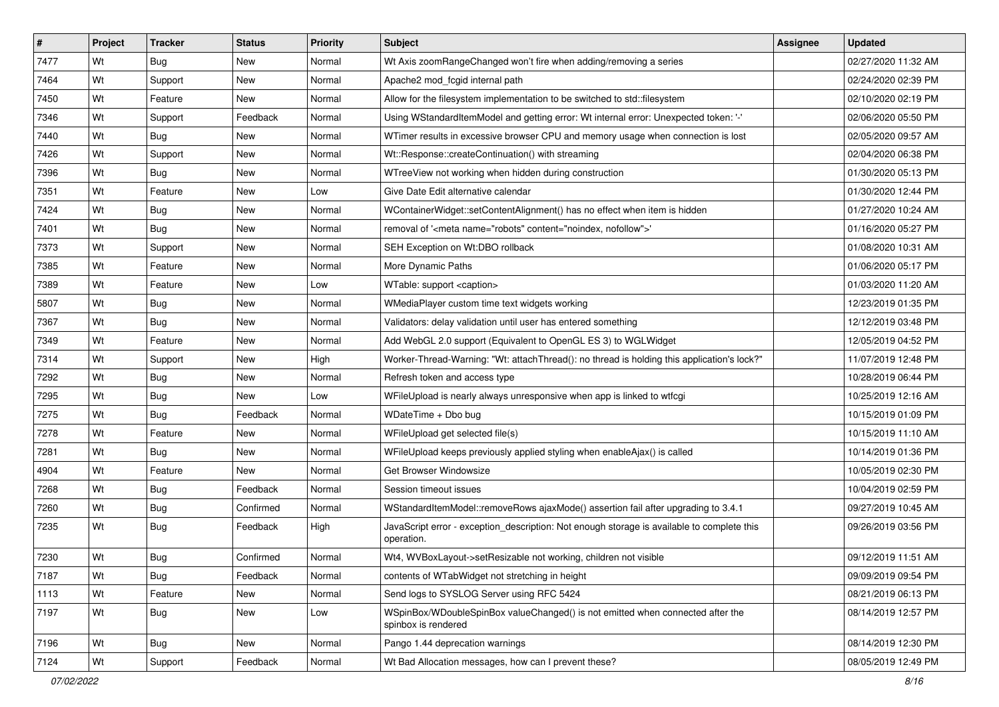| #    | Project | <b>Tracker</b> | <b>Status</b> | <b>Priority</b> | Subject                                                                                                  | Assignee | <b>Updated</b>      |
|------|---------|----------------|---------------|-----------------|----------------------------------------------------------------------------------------------------------|----------|---------------------|
| 7477 | Wt      | Bug            | New           | Normal          | Wt Axis zoomRangeChanged won't fire when adding/removing a series                                        |          | 02/27/2020 11:32 AM |
| 7464 | Wt      | Support        | New           | Normal          | Apache2 mod_fcgid internal path                                                                          |          | 02/24/2020 02:39 PM |
| 7450 | Wt      | Feature        | New           | Normal          | Allow for the filesystem implementation to be switched to std::filesystem                                |          | 02/10/2020 02:19 PM |
| 7346 | Wt      | Support        | Feedback      | Normal          | Using WStandardItemModel and getting error: Wt internal error: Unexpected token: '-'                     |          | 02/06/2020 05:50 PM |
| 7440 | Wt      | Bug            | New           | Normal          | WTimer results in excessive browser CPU and memory usage when connection is lost                         |          | 02/05/2020 09:57 AM |
| 7426 | Wt      | Support        | New           | Normal          | Wt::Response::createContinuation() with streaming                                                        |          | 02/04/2020 06:38 PM |
| 7396 | Wt      | Bug            | New           | Normal          | WTreeView not working when hidden during construction                                                    |          | 01/30/2020 05:13 PM |
| 7351 | Wt      | Feature        | New           | Low             | Give Date Edit alternative calendar                                                                      |          | 01/30/2020 12:44 PM |
| 7424 | Wt      | <b>Bug</b>     | New           | Normal          | WContainerWidget::setContentAlignment() has no effect when item is hidden                                |          | 01/27/2020 10:24 AM |
| 7401 | Wt      | Bug            | New           | Normal          | removal of ' <meta content="noindex, nofollow" name="robots"/> '                                         |          | 01/16/2020 05:27 PM |
| 7373 | Wt      | Support        | New           | Normal          | SEH Exception on Wt:DBO rollback                                                                         |          | 01/08/2020 10:31 AM |
| 7385 | Wt      | Feature        | New           | Normal          | More Dynamic Paths                                                                                       |          | 01/06/2020 05:17 PM |
| 7389 | Wt      | Feature        | New           | Low             | WTable: support <caption></caption>                                                                      |          | 01/03/2020 11:20 AM |
| 5807 | Wt      | <b>Bug</b>     | New           | Normal          | WMediaPlayer custom time text widgets working                                                            |          | 12/23/2019 01:35 PM |
| 7367 | Wt      | Bug            | New           | Normal          | Validators: delay validation until user has entered something                                            |          | 12/12/2019 03:48 PM |
| 7349 | Wt      | Feature        | New           | Normal          | Add WebGL 2.0 support (Equivalent to OpenGL ES 3) to WGLWidget                                           |          | 12/05/2019 04:52 PM |
| 7314 | Wt      | Support        | New           | High            | Worker-Thread-Warning: "Wt: attachThread(): no thread is holding this application's lock?"               |          | 11/07/2019 12:48 PM |
| 7292 | Wt      | <b>Bug</b>     | New           | Normal          | Refresh token and access type                                                                            |          | 10/28/2019 06:44 PM |
| 7295 | Wt      | Bug            | New           | Low             | WFileUpload is nearly always unresponsive when app is linked to wtfcgi                                   |          | 10/25/2019 12:16 AM |
| 7275 | Wt      | Bug            | Feedback      | Normal          | WDateTime + Dbo bug                                                                                      |          | 10/15/2019 01:09 PM |
| 7278 | Wt      | Feature        | New           | Normal          | WFileUpload get selected file(s)                                                                         |          | 10/15/2019 11:10 AM |
| 7281 | Wt      | Bug            | New           | Normal          | WFileUpload keeps previously applied styling when enableAjax() is called                                 |          | 10/14/2019 01:36 PM |
| 4904 | Wt      | Feature        | New           | Normal          | Get Browser Windowsize                                                                                   |          | 10/05/2019 02:30 PM |
| 7268 | Wt      | Bug            | Feedback      | Normal          | Session timeout issues                                                                                   |          | 10/04/2019 02:59 PM |
| 7260 | Wt      | <b>Bug</b>     | Confirmed     | Normal          | WStandardItemModel::removeRows ajaxMode() assertion fail after upgrading to 3.4.1                        |          | 09/27/2019 10:45 AM |
| 7235 | Wt      | Bug            | Feedback      | High            | JavaScript error - exception_description: Not enough storage is available to complete this<br>operation. |          | 09/26/2019 03:56 PM |
| 7230 | Wt      | Bug            | Confirmed     | Normal          | Wt4, WVBoxLayout->setResizable not working, children not visible                                         |          | 09/12/2019 11:51 AM |
| 7187 | Wt      | <b>Bug</b>     | Feedback      | Normal          | contents of WTabWidget not stretching in height                                                          |          | 09/09/2019 09:54 PM |
| 1113 | Wt      | Feature        | New           | Normal          | Send logs to SYSLOG Server using RFC 5424                                                                |          | 08/21/2019 06:13 PM |
| 7197 | Wt      | <b>Bug</b>     | New           | Low             | WSpinBox/WDoubleSpinBox valueChanged() is not emitted when connected after the<br>spinbox is rendered    |          | 08/14/2019 12:57 PM |
| 7196 | Wt      | <b>Bug</b>     | New           | Normal          | Pango 1.44 deprecation warnings                                                                          |          | 08/14/2019 12:30 PM |
| 7124 | Wt      | Support        | Feedback      | Normal          | Wt Bad Allocation messages, how can I prevent these?                                                     |          | 08/05/2019 12:49 PM |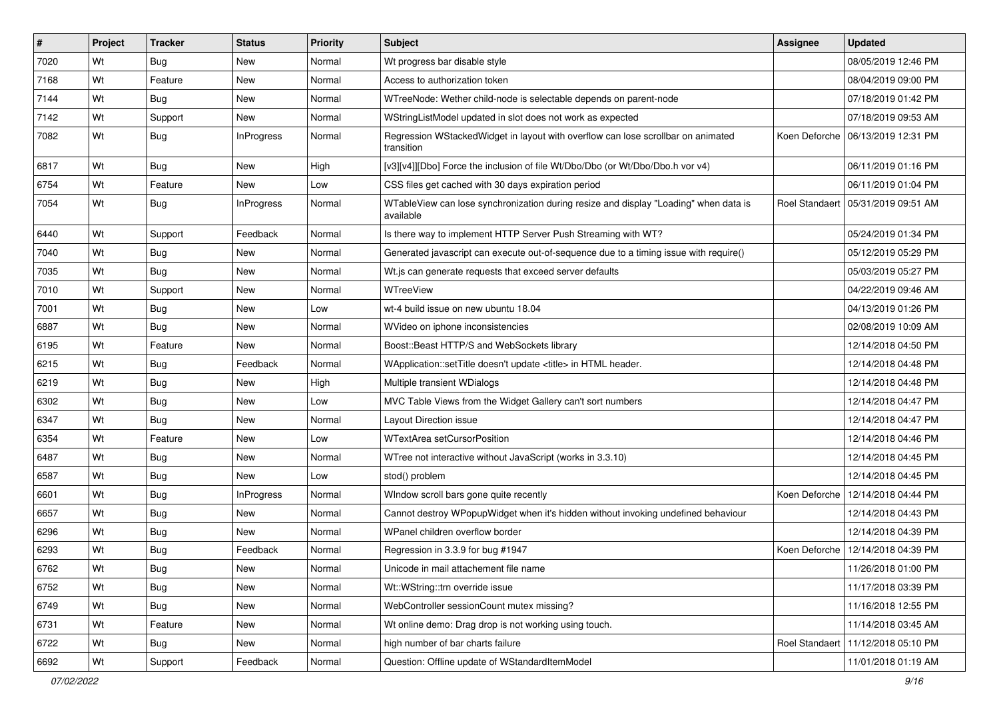| #    | Project | <b>Tracker</b> | <b>Status</b>     | <b>Priority</b> | Subject                                                                                           | <b>Assignee</b> | <b>Updated</b>                       |
|------|---------|----------------|-------------------|-----------------|---------------------------------------------------------------------------------------------------|-----------------|--------------------------------------|
| 7020 | Wt      | <b>Bug</b>     | New               | Normal          | Wt progress bar disable style                                                                     |                 | 08/05/2019 12:46 PM                  |
| 7168 | Wt      | Feature        | New               | Normal          | Access to authorization token                                                                     |                 | 08/04/2019 09:00 PM                  |
| 7144 | Wt      | Bug            | New               | Normal          | WTreeNode: Wether child-node is selectable depends on parent-node                                 |                 | 07/18/2019 01:42 PM                  |
| 7142 | Wt      | Support        | New               | Normal          | WStringListModel updated in slot does not work as expected                                        |                 | 07/18/2019 09:53 AM                  |
| 7082 | Wt      | <b>Bug</b>     | <b>InProgress</b> | Normal          | Regression WStackedWidget in layout with overflow can lose scrollbar on animated<br>transition    |                 | Koen Deforche   06/13/2019 12:31 PM  |
| 6817 | Wt      | Bug            | New               | High            | [v3][v4]][Dbo] Force the inclusion of file Wt/Dbo/Dbo (or Wt/Dbo/Dbo.h vor v4)                    |                 | 06/11/2019 01:16 PM                  |
| 6754 | Wt      | Feature        | New               | Low             | CSS files get cached with 30 days expiration period                                               |                 | 06/11/2019 01:04 PM                  |
| 7054 | Wt      | Bug            | InProgress        | Normal          | WTableView can lose synchronization during resize and display "Loading" when data is<br>available |                 | Roel Standaert   05/31/2019 09:51 AM |
| 6440 | Wt      | Support        | Feedback          | Normal          | Is there way to implement HTTP Server Push Streaming with WT?                                     |                 | 05/24/2019 01:34 PM                  |
| 7040 | Wt      | Bug            | New               | Normal          | Generated javascript can execute out-of-sequence due to a timing issue with require()             |                 | 05/12/2019 05:29 PM                  |
| 7035 | Wt      | Bug            | New               | Normal          | Wt.js can generate requests that exceed server defaults                                           |                 | 05/03/2019 05:27 PM                  |
| 7010 | Wt      | Support        | New               | Normal          | WTreeView                                                                                         |                 | 04/22/2019 09:46 AM                  |
| 7001 | Wt      | Bug            | New               | Low             | wt-4 build issue on new ubuntu 18.04                                                              |                 | 04/13/2019 01:26 PM                  |
| 6887 | Wt      | Bug            | New               | Normal          | WVideo on iphone inconsistencies                                                                  |                 | 02/08/2019 10:09 AM                  |
| 6195 | Wt      | Feature        | New               | Normal          | Boost::Beast HTTP/S and WebSockets library                                                        |                 | 12/14/2018 04:50 PM                  |
| 6215 | Wt      | Bug            | Feedback          | Normal          | WApplication::setTitle doesn't update <title> in HTML header.</title>                             |                 | 12/14/2018 04:48 PM                  |
| 6219 | Wt      | Bug            | New               | High            | Multiple transient WDialogs                                                                       |                 | 12/14/2018 04:48 PM                  |
| 6302 | Wt      | Bug            | New               | Low             | MVC Table Views from the Widget Gallery can't sort numbers                                        |                 | 12/14/2018 04:47 PM                  |
| 6347 | Wt      | Bug            | New               | Normal          | Layout Direction issue                                                                            |                 | 12/14/2018 04:47 PM                  |
| 6354 | Wt      | Feature        | New               | Low             | WTextArea setCursorPosition                                                                       |                 | 12/14/2018 04:46 PM                  |
| 6487 | Wt      | Bug            | New               | Normal          | WTree not interactive without JavaScript (works in 3.3.10)                                        |                 | 12/14/2018 04:45 PM                  |
| 6587 | Wt      | Bug            | New               | Low             | stod() problem                                                                                    |                 | 12/14/2018 04:45 PM                  |
| 6601 | Wt      | Bug            | <b>InProgress</b> | Normal          | WIndow scroll bars gone quite recently                                                            |                 | Koen Deforche   12/14/2018 04:44 PM  |
| 6657 | Wt      | Bug            | New               | Normal          | Cannot destroy WPopupWidget when it's hidden without invoking undefined behaviour                 |                 | 12/14/2018 04:43 PM                  |
| 6296 | Wt      | Bug            | New               | Normal          | WPanel children overflow border                                                                   |                 | 12/14/2018 04:39 PM                  |
| 6293 | Wt      | Bug            | Feedback          | Normal          | Regression in 3.3.9 for bug #1947                                                                 |                 | Koen Deforche   12/14/2018 04:39 PM  |
| 6762 | Wt      | Bug            | New               | Normal          | Unicode in mail attachement file name                                                             |                 | 11/26/2018 01:00 PM                  |
| 6752 | Wt      | <b>Bug</b>     | New               | Normal          | Wt::WString::trn override issue                                                                   |                 | 11/17/2018 03:39 PM                  |
| 6749 | Wt      | <b>Bug</b>     | <b>New</b>        | Normal          | WebController sessionCount mutex missing?                                                         |                 | 11/16/2018 12:55 PM                  |
| 6731 | Wt      | Feature        | New               | Normal          | Wt online demo: Drag drop is not working using touch.                                             |                 | 11/14/2018 03:45 AM                  |
| 6722 | Wt      | <b>Bug</b>     | New               | Normal          | high number of bar charts failure                                                                 |                 | Roel Standaert   11/12/2018 05:10 PM |
| 6692 | Wt      | Support        | Feedback          | Normal          | Question: Offline update of WStandardItemModel                                                    |                 | 11/01/2018 01:19 AM                  |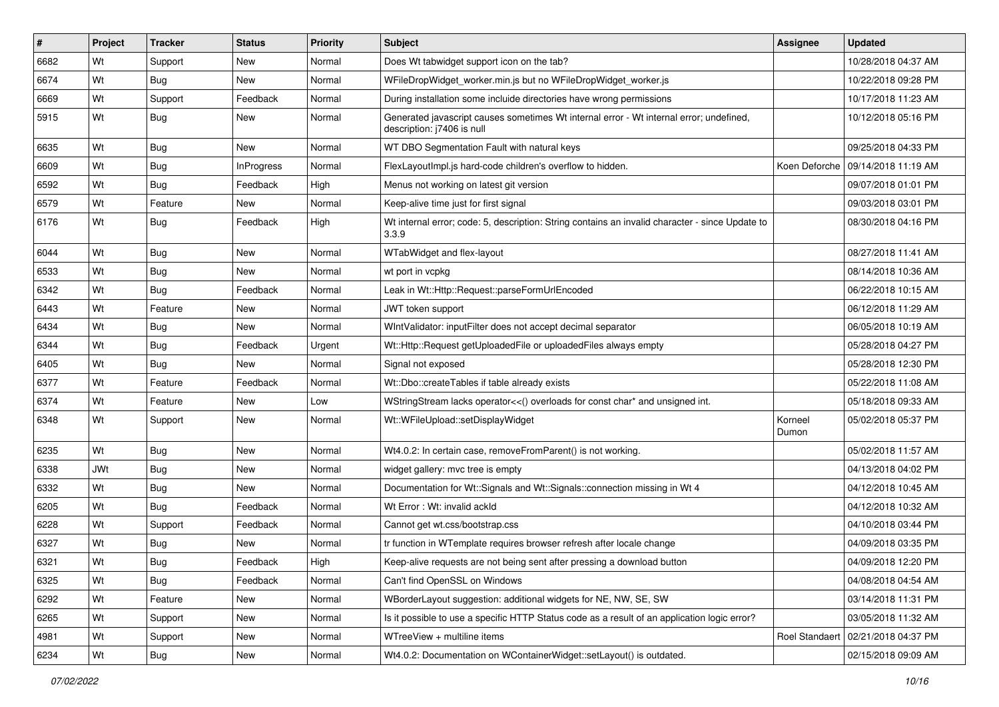| #    | Project    | <b>Tracker</b>   | <b>Status</b>     | <b>Priority</b> | Subject                                                                                                               | Assignee              | <b>Updated</b>                     |
|------|------------|------------------|-------------------|-----------------|-----------------------------------------------------------------------------------------------------------------------|-----------------------|------------------------------------|
| 6682 | Wt         | Support          | New               | Normal          | Does Wt tabwidget support icon on the tab?                                                                            |                       | 10/28/2018 04:37 AM                |
| 6674 | Wt         | <b>Bug</b>       | New               | Normal          | WFileDropWidget_worker.min.js but no WFileDropWidget_worker.js                                                        |                       | 10/22/2018 09:28 PM                |
| 6669 | Wt         | Support          | Feedback          | Normal          | During installation some incluide directories have wrong permissions                                                  |                       | 10/17/2018 11:23 AM                |
| 5915 | Wt         | Bug              | New               | Normal          | Generated javascript causes sometimes Wt internal error - Wt internal error; undefined,<br>description: j7406 is null |                       | 10/12/2018 05:16 PM                |
| 6635 | Wt         | Bug              | New               | Normal          | WT DBO Segmentation Fault with natural keys                                                                           |                       | 09/25/2018 04:33 PM                |
| 6609 | Wt         | Bug              | <b>InProgress</b> | Normal          | FlexLayoutImpl.js hard-code children's overflow to hidden.                                                            |                       | Koen Deforche 109/14/2018 11:19 AM |
| 6592 | Wt         | Bug              | Feedback          | High            | Menus not working on latest git version                                                                               |                       | 09/07/2018 01:01 PM                |
| 6579 | Wt         | Feature          | New               | Normal          | Keep-alive time just for first signal                                                                                 |                       | 09/03/2018 03:01 PM                |
| 6176 | Wt         | Bug              | Feedback          | High            | Wt internal error; code: 5, description: String contains an invalid character - since Update to<br>3.3.9              |                       | 08/30/2018 04:16 PM                |
| 6044 | Wt         | Bug              | New               | Normal          | WTabWidget and flex-layout                                                                                            |                       | 08/27/2018 11:41 AM                |
| 6533 | Wt         | Bug              | New               | Normal          | wt port in vcpkg                                                                                                      |                       | 08/14/2018 10:36 AM                |
| 6342 | Wt         | <b>Bug</b>       | Feedback          | Normal          | Leak in Wt::Http::Request::parseFormUrlEncoded                                                                        |                       | 06/22/2018 10:15 AM                |
| 6443 | Wt         | Feature          | New               | Normal          | JWT token support                                                                                                     |                       | 06/12/2018 11:29 AM                |
| 6434 | Wt         | <b>Bug</b>       | New               | Normal          | WintValidator: inputFilter does not accept decimal separator                                                          |                       | 06/05/2018 10:19 AM                |
| 6344 | Wt         | Bug              | Feedback          | Urgent          | Wt::Http::Request getUploadedFile or uploadedFiles always empty                                                       |                       | 05/28/2018 04:27 PM                |
| 6405 | Wt         | <b>Bug</b>       | New               | Normal          | Signal not exposed                                                                                                    |                       | 05/28/2018 12:30 PM                |
| 6377 | Wt         | Feature          | Feedback          | Normal          | Wt::Dbo::createTables if table already exists                                                                         |                       | 05/22/2018 11:08 AM                |
| 6374 | Wt         | Feature          | New               | Low             | WStringStream lacks operator<<() overloads for const char* and unsigned int.                                          |                       | 05/18/2018 09:33 AM                |
| 6348 | Wt         | Support          | New               | Normal          | Wt::WFileUpload::setDisplayWidget                                                                                     | Korneel<br>Dumon      | 05/02/2018 05:37 PM                |
| 6235 | Wt         | Bug              | New               | Normal          | Wt4.0.2: In certain case, removeFromParent() is not working.                                                          |                       | 05/02/2018 11:57 AM                |
| 6338 | <b>JWt</b> | <b>Bug</b>       | New               | Normal          | widget gallery: mvc tree is empty                                                                                     |                       | 04/13/2018 04:02 PM                |
| 6332 | Wt         | Bug              | New               | Normal          | Documentation for Wt::Signals and Wt::Signals::connection missing in Wt 4                                             |                       | 04/12/2018 10:45 AM                |
| 6205 | Wt         | Bug              | Feedback          | Normal          | Wt Error: Wt: invalid ackId                                                                                           |                       | 04/12/2018 10:32 AM                |
| 6228 | Wt         | Support          | Feedback          | Normal          | Cannot get wt.css/bootstrap.css                                                                                       |                       | 04/10/2018 03:44 PM                |
| 6327 | Wt         | Bug              | New               | Normal          | tr function in WTemplate requires browser refresh after locale change                                                 |                       | 04/09/2018 03:35 PM                |
| 6321 | Wt         | <sub>I</sub> Bug | Feedback          | High            | Keep-alive requests are not being sent after pressing a download button                                               |                       | 04/09/2018 12:20 PM                |
| 6325 | Wt         | <b>Bug</b>       | Feedback          | Normal          | Can't find OpenSSL on Windows                                                                                         |                       | 04/08/2018 04:54 AM                |
| 6292 | Wt         | Feature          | New               | Normal          | WBorderLayout suggestion: additional widgets for NE, NW, SE, SW                                                       |                       | 03/14/2018 11:31 PM                |
| 6265 | Wt         | Support          | New               | Normal          | Is it possible to use a specific HTTP Status code as a result of an application logic error?                          |                       | 03/05/2018 11:32 AM                |
| 4981 | Wt         | Support          | New               | Normal          | WTreeView + multiline items                                                                                           | <b>Roel Standaert</b> | 02/21/2018 04:37 PM                |
| 6234 | Wt         | Bug              | New               | Normal          | Wt4.0.2: Documentation on WContainerWidget::setLayout() is outdated.                                                  |                       | 02/15/2018 09:09 AM                |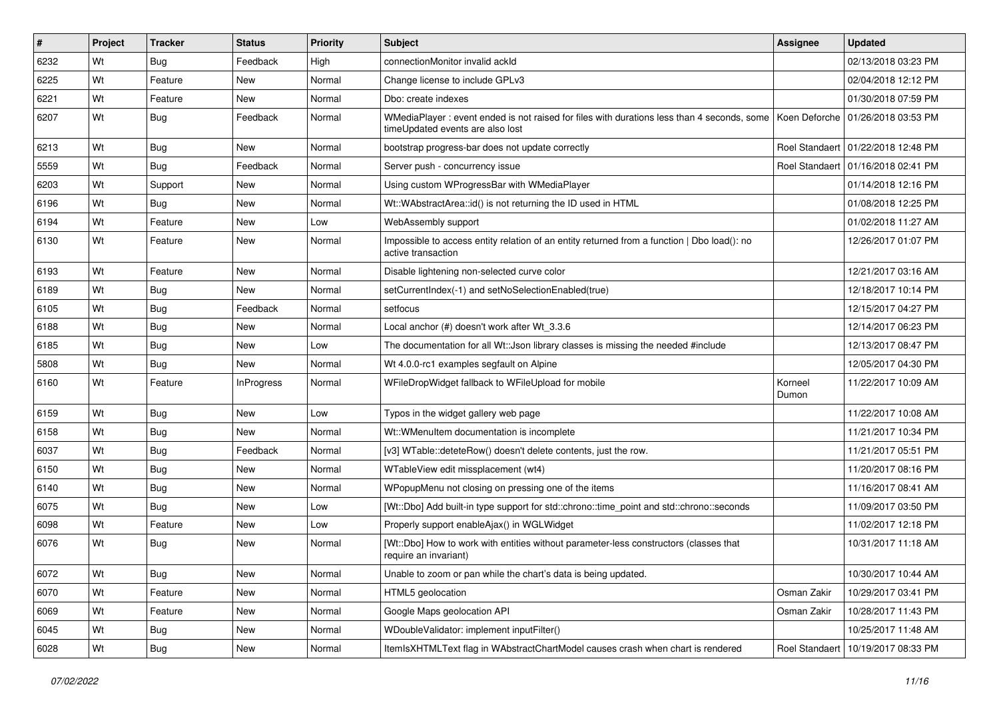| #    | Project | <b>Tracker</b> | <b>Status</b>     | <b>Priority</b> | Subject                                                                                                                                                              | <b>Assignee</b>  | <b>Updated</b>                       |
|------|---------|----------------|-------------------|-----------------|----------------------------------------------------------------------------------------------------------------------------------------------------------------------|------------------|--------------------------------------|
| 6232 | Wt      | Bug            | Feedback          | High            | connectionMonitor invalid ackId                                                                                                                                      |                  | 02/13/2018 03:23 PM                  |
| 6225 | Wt      | Feature        | <b>New</b>        | Normal          | Change license to include GPLv3                                                                                                                                      |                  | 02/04/2018 12:12 PM                  |
| 6221 | Wt      | Feature        | New               | Normal          | Dbo: create indexes                                                                                                                                                  |                  | 01/30/2018 07:59 PM                  |
| 6207 | Wt      | Bug            | Feedback          | Normal          | WMediaPlayer: event ended is not raised for files with durations less than 4 seconds, some   Koen Deforche   01/26/2018 03:53 PM<br>timeUpdated events are also lost |                  |                                      |
| 6213 | Wt      | Bug            | New               | Normal          | bootstrap progress-bar does not update correctly                                                                                                                     |                  | Roel Standaert   01/22/2018 12:48 PM |
| 5559 | Wt      | Bug            | Feedback          | Normal          | Server push - concurrency issue                                                                                                                                      |                  | Roel Standaert   01/16/2018 02:41 PM |
| 6203 | Wt      | Support        | New               | Normal          | Using custom WProgressBar with WMediaPlayer                                                                                                                          |                  | 01/14/2018 12:16 PM                  |
| 6196 | Wt      | Bug            | New               | Normal          | Wt::WAbstractArea::id() is not returning the ID used in HTML                                                                                                         |                  | 01/08/2018 12:25 PM                  |
| 6194 | Wt      | Feature        | New               | Low             | WebAssembly support                                                                                                                                                  |                  | 01/02/2018 11:27 AM                  |
| 6130 | Wt      | Feature        | New               | Normal          | Impossible to access entity relation of an entity returned from a function   Dbo load(): no<br>active transaction                                                    |                  | 12/26/2017 01:07 PM                  |
| 6193 | Wt      | Feature        | New               | Normal          | Disable lightening non-selected curve color                                                                                                                          |                  | 12/21/2017 03:16 AM                  |
| 6189 | Wt      | Bug            | New               | Normal          | setCurrentIndex(-1) and setNoSelectionEnabled(true)                                                                                                                  |                  | 12/18/2017 10:14 PM                  |
| 6105 | Wt      | Bug            | Feedback          | Normal          | setfocus                                                                                                                                                             |                  | 12/15/2017 04:27 PM                  |
| 6188 | Wt      | Bug            | New               | Normal          | Local anchor (#) doesn't work after Wt 3.3.6                                                                                                                         |                  | 12/14/2017 06:23 PM                  |
| 6185 | Wt      | Bug            | New               | Low             | The documentation for all Wt:: Json library classes is missing the needed #include                                                                                   |                  | 12/13/2017 08:47 PM                  |
| 5808 | Wt      | Bug            | New               | Normal          | Wt 4.0.0-rc1 examples segfault on Alpine                                                                                                                             |                  | 12/05/2017 04:30 PM                  |
| 6160 | Wt      | Feature        | <b>InProgress</b> | Normal          | WFileDropWidget fallback to WFileUpload for mobile                                                                                                                   | Korneel<br>Dumon | 11/22/2017 10:09 AM                  |
| 6159 | Wt      | Bug            | New               | Low             | Typos in the widget gallery web page                                                                                                                                 |                  | 11/22/2017 10:08 AM                  |
| 6158 | Wt      | Bug            | New               | Normal          | Wt:: WMenuItem documentation is incomplete                                                                                                                           |                  | 11/21/2017 10:34 PM                  |
| 6037 | Wt      | Bug            | Feedback          | Normal          | [v3] WTable::deteteRow() doesn't delete contents, just the row.                                                                                                      |                  | 11/21/2017 05:51 PM                  |
| 6150 | Wt      | Bug            | New               | Normal          | WTableView edit missplacement (wt4)                                                                                                                                  |                  | 11/20/2017 08:16 PM                  |
| 6140 | Wt      | Bug            | New               | Normal          | WPopupMenu not closing on pressing one of the items                                                                                                                  |                  | 11/16/2017 08:41 AM                  |
| 6075 | Wt      | Bug            | New               | Low             | [Wt::Dbo] Add built-in type support for std::chrono::time_point and std::chrono::seconds                                                                             |                  | 11/09/2017 03:50 PM                  |
| 6098 | Wt      | Feature        | New               | Low             | Properly support enableAjax() in WGLWidget                                                                                                                           |                  | 11/02/2017 12:18 PM                  |
| 6076 | Wt      | Bug            | New               | Normal          | [Wt::Dbo] How to work with entities without parameter-less constructors (classes that<br>require an invariant)                                                       |                  | 10/31/2017 11:18 AM                  |
| 6072 | Wt      | <b>Bug</b>     | New               | Normal          | Unable to zoom or pan while the chart's data is being updated.                                                                                                       |                  | 10/30/2017 10:44 AM                  |
| 6070 | Wt      | Feature        | New               | Normal          | HTML5 geolocation                                                                                                                                                    | Osman Zakir      | 10/29/2017 03:41 PM                  |
| 6069 | Wt      | Feature        | New               | Normal          | Google Maps geolocation API                                                                                                                                          | Osman Zakir      | 10/28/2017 11:43 PM                  |
| 6045 | Wt      | <b>Bug</b>     | New               | Normal          | WDoubleValidator: implement inputFilter()                                                                                                                            |                  | 10/25/2017 11:48 AM                  |
| 6028 | Wt      | <b>Bug</b>     | New               | Normal          | ItemIsXHTMLText flag in WAbstractChartModel causes crash when chart is rendered                                                                                      | Roel Standaert   | 10/19/2017 08:33 PM                  |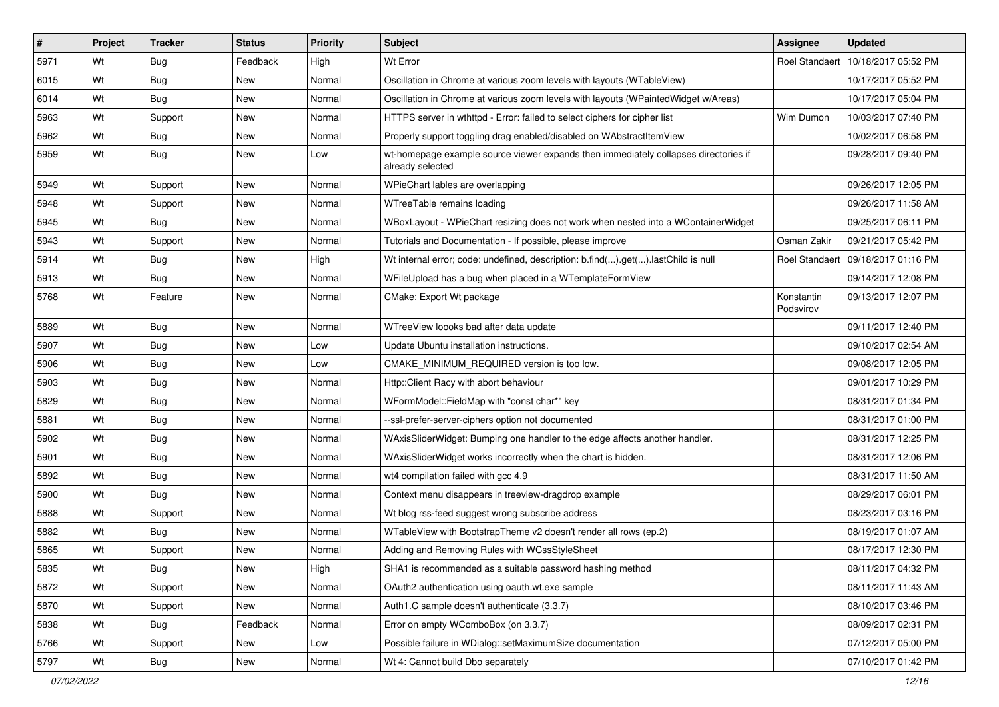| #    | Project | <b>Tracker</b> | <b>Status</b> | Priority | Subject                                                                                                 | <b>Assignee</b>         | <b>Updated</b>      |
|------|---------|----------------|---------------|----------|---------------------------------------------------------------------------------------------------------|-------------------------|---------------------|
| 5971 | Wt      | Bug            | Feedback      | High     | Wt Error                                                                                                | <b>Roel Standaert</b>   | 10/18/2017 05:52 PM |
| 6015 | Wt      | Bug            | <b>New</b>    | Normal   | Oscillation in Chrome at various zoom levels with layouts (WTableView)                                  |                         | 10/17/2017 05:52 PM |
| 6014 | Wt      | Bug            | New           | Normal   | Oscillation in Chrome at various zoom levels with layouts (WPaintedWidget w/Areas)                      |                         | 10/17/2017 05:04 PM |
| 5963 | Wt      | Support        | New           | Normal   | HTTPS server in wthttpd - Error: failed to select ciphers for cipher list                               | Wim Dumon               | 10/03/2017 07:40 PM |
| 5962 | Wt      | Bug            | <b>New</b>    | Normal   | Properly support toggling drag enabled/disabled on WAbstractItemView                                    |                         | 10/02/2017 06:58 PM |
| 5959 | Wt      | Bug            | New           | Low      | wt-homepage example source viewer expands then immediately collapses directories if<br>already selected |                         | 09/28/2017 09:40 PM |
| 5949 | Wt      | Support        | <b>New</b>    | Normal   | WPieChart lables are overlapping                                                                        |                         | 09/26/2017 12:05 PM |
| 5948 | Wt      | Support        | New           | Normal   | WTreeTable remains loading                                                                              |                         | 09/26/2017 11:58 AM |
| 5945 | Wt      | Bug            | New           | Normal   | WBoxLayout - WPieChart resizing does not work when nested into a WContainerWidget                       |                         | 09/25/2017 06:11 PM |
| 5943 | Wt      | Support        | New           | Normal   | Tutorials and Documentation - If possible, please improve                                               | Osman Zakir             | 09/21/2017 05:42 PM |
| 5914 | Wt      | Bug            | <b>New</b>    | High     | Wt internal error; code: undefined, description: b.find().get().lastChild is null                       | <b>Roel Standaert</b>   | 09/18/2017 01:16 PM |
| 5913 | Wt      | Bug            | New           | Normal   | WFileUpload has a bug when placed in a WTemplateFormView                                                |                         | 09/14/2017 12:08 PM |
| 5768 | Wt      | Feature        | New           | Normal   | CMake: Export Wt package                                                                                | Konstantin<br>Podsvirov | 09/13/2017 12:07 PM |
| 5889 | Wt      | Bug            | <b>New</b>    | Normal   | WTreeView loooks bad after data update                                                                  |                         | 09/11/2017 12:40 PM |
| 5907 | Wt      | Bug            | New           | Low      | Update Ubuntu installation instructions.                                                                |                         | 09/10/2017 02:54 AM |
| 5906 | Wt      | Bug            | New           | Low      | CMAKE MINIMUM REQUIRED version is too low.                                                              |                         | 09/08/2017 12:05 PM |
| 5903 | Wt      | <b>Bug</b>     | New           | Normal   | Http::Client Racy with abort behaviour                                                                  |                         | 09/01/2017 10:29 PM |
| 5829 | Wt      | Bug            | New           | Normal   | WFormModel::FieldMap with "const char*" key                                                             |                         | 08/31/2017 01:34 PM |
| 5881 | Wt      | Bug            | <b>New</b>    | Normal   | --ssl-prefer-server-ciphers option not documented                                                       |                         | 08/31/2017 01:00 PM |
| 5902 | Wt      | <b>Bug</b>     | New           | Normal   | WAxisSliderWidget: Bumping one handler to the edge affects another handler.                             |                         | 08/31/2017 12:25 PM |
| 5901 | Wt      | Bug            | New           | Normal   | WAxisSliderWidget works incorrectly when the chart is hidden.                                           |                         | 08/31/2017 12:06 PM |
| 5892 | Wt      | Bug            | New           | Normal   | wt4 compilation failed with gcc 4.9                                                                     |                         | 08/31/2017 11:50 AM |
| 5900 | Wt      | Bug            | <b>New</b>    | Normal   | Context menu disappears in treeview-dragdrop example                                                    |                         | 08/29/2017 06:01 PM |
| 5888 | Wt      | Support        | New           | Normal   | Wt blog rss-feed suggest wrong subscribe address                                                        |                         | 08/23/2017 03:16 PM |
| 5882 | Wt      | Bug            | New           | Normal   | WTableView with BootstrapTheme v2 doesn't render all rows (ep.2)                                        |                         | 08/19/2017 01:07 AM |
| 5865 | Wt      | Support        | New           | Normal   | Adding and Removing Rules with WCssStyleSheet                                                           |                         | 08/17/2017 12:30 PM |
| 5835 | Wt      | Bug            | New           | High     | SHA1 is recommended as a suitable password hashing method                                               |                         | 08/11/2017 04:32 PM |
| 5872 | Wt      | Support        | New           | Normal   | OAuth2 authentication using oauth.wt.exe sample                                                         |                         | 08/11/2017 11:43 AM |
| 5870 | Wt      | Support        | New           | Normal   | Auth1.C sample doesn't authenticate (3.3.7)                                                             |                         | 08/10/2017 03:46 PM |
| 5838 | Wt      | Bug            | Feedback      | Normal   | Error on empty WComboBox (on 3.3.7)                                                                     |                         | 08/09/2017 02:31 PM |
| 5766 | Wt      | Support        | New           | Low      | Possible failure in WDialog::setMaximumSize documentation                                               |                         | 07/12/2017 05:00 PM |
| 5797 | Wt      | <b>Bug</b>     | New           | Normal   | Wt 4: Cannot build Dbo separately                                                                       |                         | 07/10/2017 01:42 PM |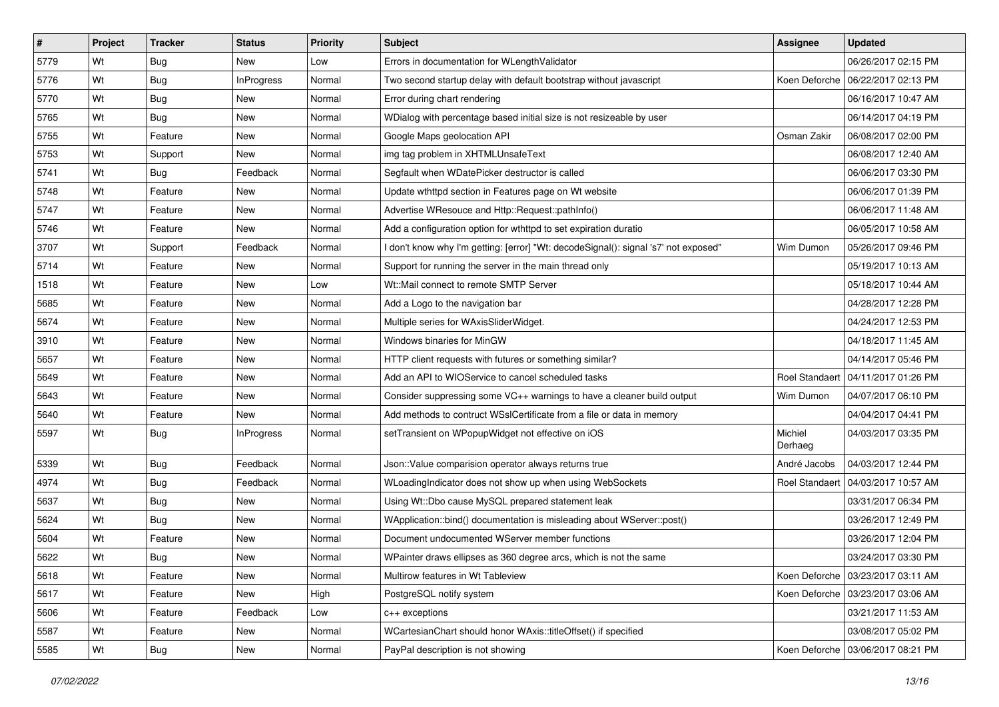| $\sharp$ | Project | <b>Tracker</b> | <b>Status</b>     | Priority | <b>Subject</b>                                                                      | <b>Assignee</b>       | <b>Updated</b>                      |
|----------|---------|----------------|-------------------|----------|-------------------------------------------------------------------------------------|-----------------------|-------------------------------------|
| 5779     | Wt      | Bug            | New               | Low      | Errors in documentation for WLengthValidator                                        |                       | 06/26/2017 02:15 PM                 |
| 5776     | Wt      | Bug            | <b>InProgress</b> | Normal   | Two second startup delay with default bootstrap without javascript                  |                       | Koen Deforche   06/22/2017 02:13 PM |
| 5770     | Wt      | Bug            | New               | Normal   | Error during chart rendering                                                        |                       | 06/16/2017 10:47 AM                 |
| 5765     | Wt      | Bug            | New               | Normal   | WDialog with percentage based initial size is not resizeable by user                |                       | 06/14/2017 04:19 PM                 |
| 5755     | Wt      | Feature        | <b>New</b>        | Normal   | Google Maps geolocation API                                                         | Osman Zakir           | 06/08/2017 02:00 PM                 |
| 5753     | Wt      | Support        | New               | Normal   | img tag problem in XHTMLUnsafeText                                                  |                       | 06/08/2017 12:40 AM                 |
| 5741     | Wt      | Bug            | Feedback          | Normal   | Segfault when WDatePicker destructor is called                                      |                       | 06/06/2017 03:30 PM                 |
| 5748     | Wt      | Feature        | New               | Normal   | Update wthttpd section in Features page on Wt website                               |                       | 06/06/2017 01:39 PM                 |
| 5747     | Wt      | Feature        | New               | Normal   | Advertise WResouce and Http::Request::pathInfo()                                    |                       | 06/06/2017 11:48 AM                 |
| 5746     | Wt      | Feature        | New               | Normal   | Add a configuration option for wthttpd to set expiration duratio                    |                       | 06/05/2017 10:58 AM                 |
| 3707     | Wt      | Support        | Feedback          | Normal   | I don't know why I'm getting: [error] "Wt: decodeSignal(): signal 's7' not exposed" | Wim Dumon             | 05/26/2017 09:46 PM                 |
| 5714     | Wt      | Feature        | <b>New</b>        | Normal   | Support for running the server in the main thread only                              |                       | 05/19/2017 10:13 AM                 |
| 1518     | Wt      | Feature        | <b>New</b>        | Low      | Wt::Mail connect to remote SMTP Server                                              |                       | 05/18/2017 10:44 AM                 |
| 5685     | Wt      | Feature        | New               | Normal   | Add a Logo to the navigation bar                                                    |                       | 04/28/2017 12:28 PM                 |
| 5674     | Wt      | Feature        | New               | Normal   | Multiple series for WAxisSliderWidget.                                              |                       | 04/24/2017 12:53 PM                 |
| 3910     | Wt      | Feature        | New               | Normal   | Windows binaries for MinGW                                                          |                       | 04/18/2017 11:45 AM                 |
| 5657     | Wt      | Feature        | New               | Normal   | HTTP client requests with futures or something similar?                             |                       | 04/14/2017 05:46 PM                 |
| 5649     | Wt      | Feature        | <b>New</b>        | Normal   | Add an API to WIOService to cancel scheduled tasks                                  | Roel Standaert        | 04/11/2017 01:26 PM                 |
| 5643     | Wt      | Feature        | New               | Normal   | Consider suppressing some VC++ warnings to have a cleaner build output              | Wim Dumon             | 04/07/2017 06:10 PM                 |
| 5640     | Wt      | Feature        | New               | Normal   | Add methods to contruct WSslCertificate from a file or data in memory               |                       | 04/04/2017 04:41 PM                 |
| 5597     | Wt      | Bug            | <b>InProgress</b> | Normal   | setTransient on WPopupWidget not effective on iOS                                   | Michiel<br>Derhaeg    | 04/03/2017 03:35 PM                 |
| 5339     | Wt      | <b>Bug</b>     | Feedback          | Normal   | Json:: Value comparision operator always returns true                               | André Jacobs          | 04/03/2017 12:44 PM                 |
| 4974     | Wt      | <b>Bug</b>     | Feedback          | Normal   | WLoadingIndicator does not show up when using WebSockets                            | <b>Roel Standaert</b> | 04/03/2017 10:57 AM                 |
| 5637     | Wt      | <b>Bug</b>     | New               | Normal   | Using Wt::Dbo cause MySQL prepared statement leak                                   |                       | 03/31/2017 06:34 PM                 |
| 5624     | Wt      | Bug            | <b>New</b>        | Normal   | WApplication::bind() documentation is misleading about WServer::post()              |                       | 03/26/2017 12:49 PM                 |
| 5604     | Wt      | Feature        | New               | Normal   | Document undocumented WServer member functions                                      |                       | 03/26/2017 12:04 PM                 |
| 5622     | Wt      | Bug            | New               | Normal   | WPainter draws ellipses as 360 degree arcs, which is not the same                   |                       | 03/24/2017 03:30 PM                 |
| 5618     | Wt      | Feature        | New               | Normal   | Multirow features in Wt Tableview                                                   |                       | Koen Deforche   03/23/2017 03:11 AM |
| 5617     | Wt      | Feature        | New               | High     | PostgreSQL notify system                                                            |                       | Koen Deforche   03/23/2017 03:06 AM |
| 5606     | Wt      | Feature        | Feedback          | Low      | $c++$ exceptions                                                                    |                       | 03/21/2017 11:53 AM                 |
| 5587     | Wt      | Feature        | New               | Normal   | WCartesianChart should honor WAxis::titleOffset() if specified                      |                       | 03/08/2017 05:02 PM                 |
| 5585     | Wt      | <b>Bug</b>     | New               | Normal   | PayPal description is not showing                                                   |                       | Koen Deforche   03/06/2017 08:21 PM |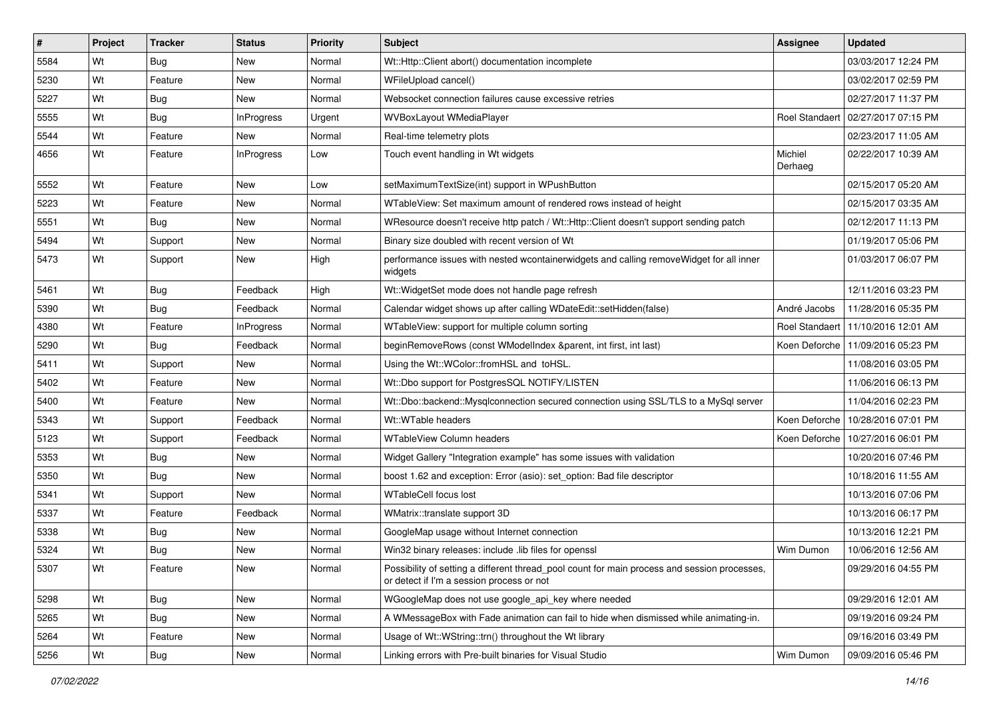| $\#$ | Project | <b>Tracker</b> | <b>Status</b>     | Priority | <b>Subject</b>                                                                                                                            | <b>Assignee</b>       | <b>Updated</b>                       |
|------|---------|----------------|-------------------|----------|-------------------------------------------------------------------------------------------------------------------------------------------|-----------------------|--------------------------------------|
| 5584 | Wt      | Bug            | New               | Normal   | Wt::Http::Client abort() documentation incomplete                                                                                         |                       | 03/03/2017 12:24 PM                  |
| 5230 | Wt      | Feature        | <b>New</b>        | Normal   | WFileUpload cancel()                                                                                                                      |                       | 03/02/2017 02:59 PM                  |
| 5227 | Wt      | <b>Bug</b>     | New               | Normal   | Websocket connection failures cause excessive retries                                                                                     |                       | 02/27/2017 11:37 PM                  |
| 5555 | Wt      | Bug            | <b>InProgress</b> | Urgent   | WVBoxLayout WMediaPlayer                                                                                                                  | <b>Roel Standaert</b> | 02/27/2017 07:15 PM                  |
| 5544 | Wt      | Feature        | <b>New</b>        | Normal   | Real-time telemetry plots                                                                                                                 |                       | 02/23/2017 11:05 AM                  |
| 4656 | Wt      | Feature        | <b>InProgress</b> | Low      | Touch event handling in Wt widgets                                                                                                        | Michiel<br>Derhaeg    | 02/22/2017 10:39 AM                  |
| 5552 | Wt      | Feature        | <b>New</b>        | Low      | setMaximumTextSize(int) support in WPushButton                                                                                            |                       | 02/15/2017 05:20 AM                  |
| 5223 | Wt      | Feature        | New               | Normal   | WTableView: Set maximum amount of rendered rows instead of height                                                                         |                       | 02/15/2017 03:35 AM                  |
| 5551 | Wt      | Bug            | <b>New</b>        | Normal   | WResource doesn't receive http patch / Wt::Http::Client doesn't support sending patch                                                     |                       | 02/12/2017 11:13 PM                  |
| 5494 | Wt      | Support        | New               | Normal   | Binary size doubled with recent version of Wt                                                                                             |                       | 01/19/2017 05:06 PM                  |
| 5473 | Wt      | Support        | New               | High     | performance issues with nested wcontainerwidgets and calling removeWidget for all inner<br>widgets                                        |                       | 01/03/2017 06:07 PM                  |
| 5461 | Wt      | Bug            | Feedback          | High     | Wt:: Widget Set mode does not handle page refresh                                                                                         |                       | 12/11/2016 03:23 PM                  |
| 5390 | Wt      | Bug            | Feedback          | Normal   | Calendar widget shows up after calling WDateEdit::setHidden(false)                                                                        | André Jacobs          | 11/28/2016 05:35 PM                  |
| 4380 | Wt      | Feature        | <b>InProgress</b> | Normal   | WTableView: support for multiple column sorting                                                                                           |                       | Roel Standaert   11/10/2016 12:01 AM |
| 5290 | Wt      | Bug            | Feedback          | Normal   | beginRemoveRows (const WModelIndex &parent, int first, int last)                                                                          |                       | Koen Deforche   11/09/2016 05:23 PM  |
| 5411 | Wt      | Support        | <b>New</b>        | Normal   | Using the Wt::WColor::fromHSL and toHSL.                                                                                                  |                       | 11/08/2016 03:05 PM                  |
| 5402 | Wt      | Feature        | New               | Normal   | Wt::Dbo support for PostgresSQL NOTIFY/LISTEN                                                                                             |                       | 11/06/2016 06:13 PM                  |
| 5400 | Wt      | Feature        | New               | Normal   | Wt::Dbo::backend::Mysqlconnection secured connection using SSL/TLS to a MySql server                                                      |                       | 11/04/2016 02:23 PM                  |
| 5343 | Wt      | Support        | Feedback          | Normal   | Wt::WTable headers                                                                                                                        |                       | Koen Deforche   10/28/2016 07:01 PM  |
| 5123 | Wt      | Support        | Feedback          | Normal   | <b>WTableView Column headers</b>                                                                                                          |                       | Koen Deforche   10/27/2016 06:01 PM  |
| 5353 | Wt      | Bug            | New               | Normal   | Widget Gallery "Integration example" has some issues with validation                                                                      |                       | 10/20/2016 07:46 PM                  |
| 5350 | Wt      | Bug            | New               | Normal   | boost 1.62 and exception: Error (asio): set option: Bad file descriptor                                                                   |                       | 10/18/2016 11:55 AM                  |
| 5341 | Wt      | Support        | New               | Normal   | <b>WTableCell focus lost</b>                                                                                                              |                       | 10/13/2016 07:06 PM                  |
| 5337 | Wt      | Feature        | Feedback          | Normal   | WMatrix::translate support 3D                                                                                                             |                       | 10/13/2016 06:17 PM                  |
| 5338 | Wt      | Bug            | New               | Normal   | GoogleMap usage without Internet connection                                                                                               |                       | 10/13/2016 12:21 PM                  |
| 5324 | Wt      | <b>Bug</b>     | New               | Normal   | Win32 binary releases: include .lib files for openssl                                                                                     | Wim Dumon             | 10/06/2016 12:56 AM                  |
| 5307 | Wt      | Feature        | New               | Normal   | Possibility of setting a different thread_pool count for main process and session processes,<br>or detect if I'm a session process or not |                       | 09/29/2016 04:55 PM                  |
| 5298 | Wt      | Bug            | New               | Normal   | WGoogleMap does not use google_api_key where needed                                                                                       |                       | 09/29/2016 12:01 AM                  |
| 5265 | Wt      | Bug            | New               | Normal   | A WMessageBox with Fade animation can fail to hide when dismissed while animating-in.                                                     |                       | 09/19/2016 09:24 PM                  |
| 5264 | Wt      | Feature        | New               | Normal   | Usage of Wt::WString::trn() throughout the Wt library                                                                                     |                       | 09/16/2016 03:49 PM                  |
| 5256 | Wt      | Bug            | New               | Normal   | Linking errors with Pre-built binaries for Visual Studio                                                                                  | Wim Dumon             | 09/09/2016 05:46 PM                  |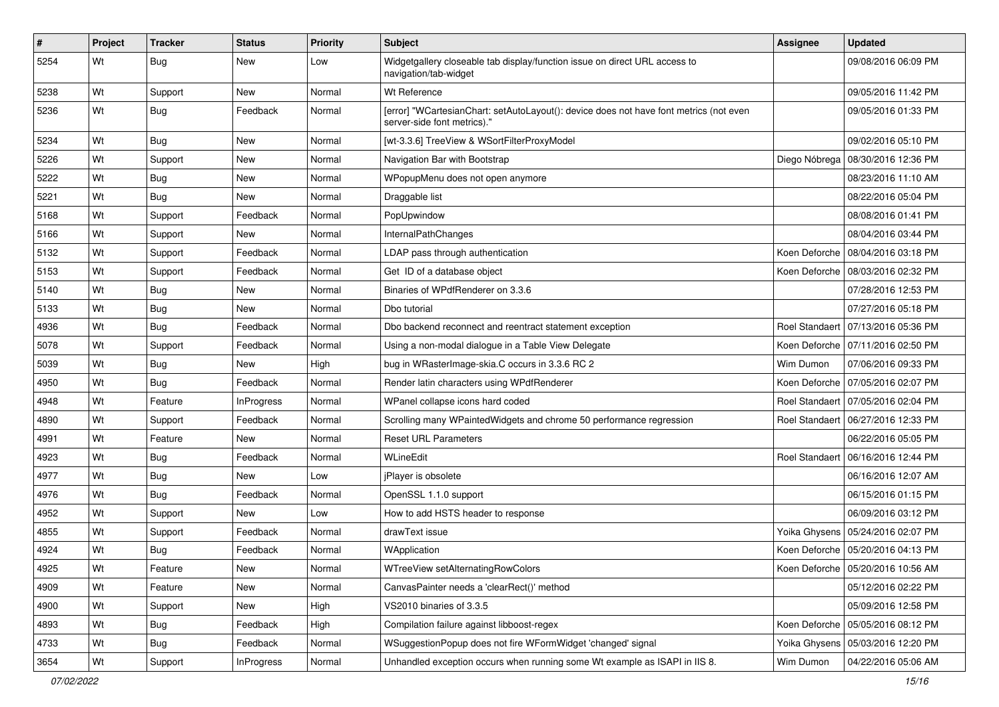| $\vert$ # | Project | <b>Tracker</b> | <b>Status</b>     | <b>Priority</b> | Subject                                                                                                               | Assignee      | <b>Updated</b>                       |
|-----------|---------|----------------|-------------------|-----------------|-----------------------------------------------------------------------------------------------------------------------|---------------|--------------------------------------|
| 5254      | Wt      | Bug            | New               | Low             | Widgetgallery closeable tab display/function issue on direct URL access to<br>navigation/tab-widget                   |               | 09/08/2016 06:09 PM                  |
| 5238      | Wt      | Support        | New               | Normal          | Wt Reference                                                                                                          |               | 09/05/2016 11:42 PM                  |
| 5236      | Wt      | Bug            | Feedback          | Normal          | [error] "WCartesianChart: setAutoLayout(): device does not have font metrics (not even<br>server-side font metrics)." |               | 09/05/2016 01:33 PM                  |
| 5234      | Wt      | Bug            | <b>New</b>        | Normal          | [wt-3.3.6] TreeView & WSortFilterProxyModel                                                                           |               | 09/02/2016 05:10 PM                  |
| 5226      | Wt      | Support        | New               | Normal          | Navigation Bar with Bootstrap                                                                                         |               | Diego Nóbrega   08/30/2016 12:36 PM  |
| 5222      | Wt      | Bug            | <b>New</b>        | Normal          | WPopupMenu does not open anymore                                                                                      |               | 08/23/2016 11:10 AM                  |
| 5221      | Wt      | Bug            | New               | Normal          | Draggable list                                                                                                        |               | 08/22/2016 05:04 PM                  |
| 5168      | Wt      | Support        | Feedback          | Normal          | PopUpwindow                                                                                                           |               | 08/08/2016 01:41 PM                  |
| 5166      | Wt      | Support        | New               | Normal          | InternalPathChanges                                                                                                   |               | 08/04/2016 03:44 PM                  |
| 5132      | Wt      | Support        | Feedback          | Normal          | LDAP pass through authentication                                                                                      |               | Koen Deforche   08/04/2016 03:18 PM  |
| 5153      | Wt      | Support        | Feedback          | Normal          | Get ID of a database object                                                                                           |               | Koen Deforche   08/03/2016 02:32 PM  |
| 5140      | Wt      | Bug            | New               | Normal          | Binaries of WPdfRenderer on 3.3.6                                                                                     |               | 07/28/2016 12:53 PM                  |
| 5133      | Wt      | Bug            | New               | Normal          | Dbo tutorial                                                                                                          |               | 07/27/2016 05:18 PM                  |
| 4936      | Wt      | Bug            | Feedback          | Normal          | Dbo backend reconnect and reentract statement exception                                                               |               | Roel Standaert   07/13/2016 05:36 PM |
| 5078      | Wt      | Support        | Feedback          | Normal          | Using a non-modal dialogue in a Table View Delegate                                                                   |               | Koen Deforche   07/11/2016 02:50 PM  |
| 5039      | Wt      | Bug            | <b>New</b>        | High            | bug in WRasterImage-skia.C occurs in 3.3.6 RC 2                                                                       | Wim Dumon     | 07/06/2016 09:33 PM                  |
| 4950      | Wt      | Bug            | Feedback          | Normal          | Render latin characters using WPdfRenderer                                                                            |               | Koen Deforche   07/05/2016 02:07 PM  |
| 4948      | Wt      | Feature        | <b>InProgress</b> | Normal          | WPanel collapse icons hard coded                                                                                      |               | Roel Standaert   07/05/2016 02:04 PM |
| 4890      | Wt      | Support        | Feedback          | Normal          | Scrolling many WPaintedWidgets and chrome 50 performance regression                                                   |               | Roel Standaert   06/27/2016 12:33 PM |
| 4991      | Wt      | Feature        | New               | Normal          | <b>Reset URL Parameters</b>                                                                                           |               | 06/22/2016 05:05 PM                  |
| 4923      | Wt      | Bug            | Feedback          | Normal          | WLineEdit                                                                                                             |               | Roel Standaert   06/16/2016 12:44 PM |
| 4977      | Wt      | <b>Bug</b>     | New               | Low             | jPlayer is obsolete                                                                                                   |               | 06/16/2016 12:07 AM                  |
| 4976      | Wt      | Bug            | Feedback          | Normal          | OpenSSL 1.1.0 support                                                                                                 |               | 06/15/2016 01:15 PM                  |
| 4952      | Wt      | Support        | <b>New</b>        | Low             | How to add HSTS header to response                                                                                    |               | 06/09/2016 03:12 PM                  |
| 4855      | Wt      | Support        | Feedback          | Normal          | drawText issue                                                                                                        | Yoika Ghysens | 05/24/2016 02:07 PM                  |
| 4924      | Wt      | Bug            | Feedback          | Normal          | WApplication                                                                                                          |               | Koen Deforche   05/20/2016 04:13 PM  |
| 4925      | Wt      | Feature        | New               | Normal          | WTreeView setAlternatingRowColors                                                                                     |               | Koen Deforche   05/20/2016 10:56 AM  |
| 4909      | Wt      | Feature        | New               | Normal          | CanvasPainter needs a 'clearRect()' method                                                                            |               | 05/12/2016 02:22 PM                  |
| 4900      | Wt      | Support        | New               | High            | VS2010 binaries of 3.3.5                                                                                              |               | 05/09/2016 12:58 PM                  |
| 4893      | Wt      | Bug            | Feedback          | High            | Compilation failure against libboost-regex                                                                            | Koen Deforche | 05/05/2016 08:12 PM                  |
| 4733      | Wt      | <b>Bug</b>     | Feedback          | Normal          | WSuggestionPopup does not fire WFormWidget 'changed' signal                                                           |               | Yoika Ghysens   05/03/2016 12:20 PM  |
| 3654      | Wt      | Support        | <b>InProgress</b> | Normal          | Unhandled exception occurs when running some Wt example as ISAPI in IIS 8.                                            | Wim Dumon     | 04/22/2016 05:06 AM                  |